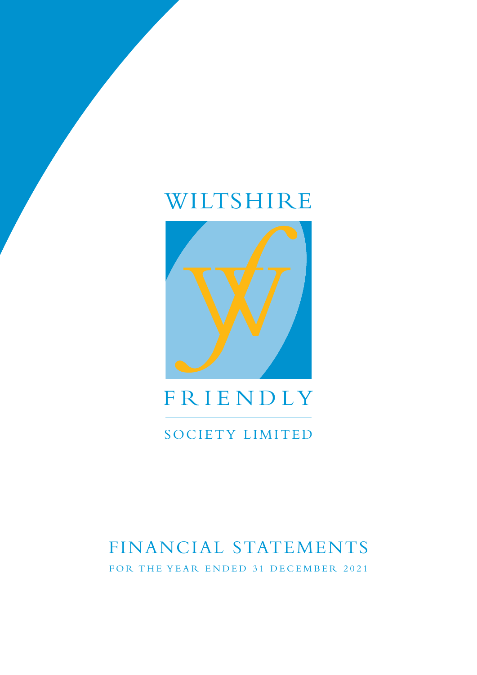# WILTSHIRE



# FRIENDLY

## SOCIETY LIMITED

# FINANCIAL STATEMENTS FOR THE YEAR ENDED 31 DECEMBER 2021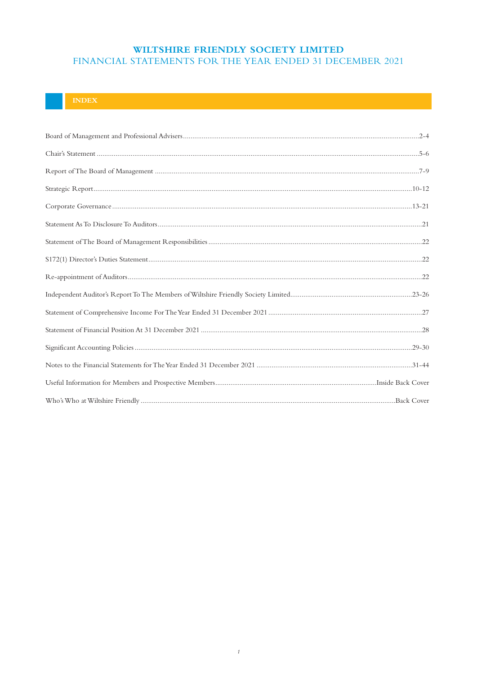## **INDEX**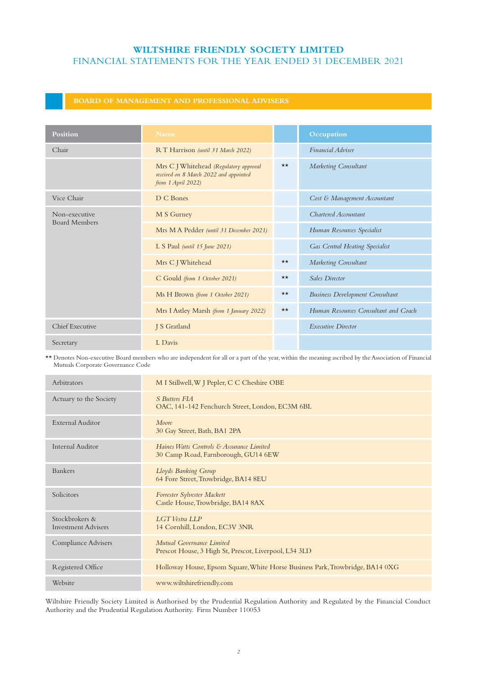## **BOARD OF MANAGEMENT AND PROFESSIONAL ADVISERS**

| Position                              | <b>Name</b>                                                                                            |              | Occupation                             |
|---------------------------------------|--------------------------------------------------------------------------------------------------------|--------------|----------------------------------------|
| Chair                                 | RT Harrison (until 31 March 2022)                                                                      |              | Financial Adviser                      |
|                                       | Mrs C J Whitehead (Regulatory approval<br>received on 8 March 2022 and appointed<br>from 1 April 2022) | $\star\star$ | Marketing Consultant                   |
| Vice Chair                            | D C Bones                                                                                              |              | Cost & Management Accountant           |
| Non-executive<br><b>Board Members</b> | M S Gurney                                                                                             |              | Chartered Accountant                   |
|                                       | Mrs M A Pedder (until 31 December 2021)                                                                |              | Human Resources Specialist             |
|                                       | L S Paul (until 15 June 2021)                                                                          |              | Gas Central Heating Specialist         |
|                                       | Mrs C J Whitehead                                                                                      | $\star\star$ | Marketing Consultant                   |
|                                       | C Gould (from 1 October 2021)                                                                          | $\star\star$ | <b>Sales Director</b>                  |
|                                       | Ms H Brown (from 1 October 2021)                                                                       | $\star\star$ | <b>Business Development Consultant</b> |
|                                       | Mrs I Astley Marsh (from 1 January 2022)                                                               | $\star\star$ | Human Resources Consultant and Coach   |
| Chief Executive                       | J S Gratland                                                                                           |              | <b>Executive Director</b>              |
| Secretary                             | L Davis                                                                                                |              |                                        |

\*\* Denotes Non-executive Board members who are independent for all or a part of the year, within the meaning ascribed by the Association of Financial Mutuals Corporate Governance Code

| Arbitrators                                  | M I Stillwell, W J Pepler, C C Cheshire OBE                                        |
|----------------------------------------------|------------------------------------------------------------------------------------|
| Actuary to the Society                       | <b>S</b> Butters FIA<br>OAC, 141-142 Fenchurch Street, London, EC3M 6BL            |
| External Auditor                             | Moore<br>30 Gay Street, Bath, BA1 2PA                                              |
| <b>Internal Auditor</b>                      | Haines Watts Controls & Assurance Limited<br>30 Camp Road, Farnborough, GU14 6EW   |
| <b>Bankers</b>                               | Lloyds Banking Group<br>64 Fore Street, Trowbridge, BA14 8EU                       |
| Solicitors                                   | Forrester Sylvester Mackett<br>Castle House, Trowbridge, BA14 8AX                  |
| Stockbrokers &<br><b>Investment Advisers</b> | LGT Vestra LLP<br>14 Cornhill, London, EC3V 3NR                                    |
| Compliance Advisers                          | Mutual Governance Limited<br>Prescot House, 3 High St, Prescot, Liverpool, L34 3LD |
| Registered Office                            | Holloway House, Epsom Square, White Horse Business Park, Trowbridge, BA14 0XG      |
| Website                                      | www.wiltshirefriendly.com                                                          |

Wiltshire Friendly Society Limited is Authorised by the Prudential Regulation Authority and Regulated by the Financial Conduct Authority and the Prudential Regulation Authority. Firm Number 110053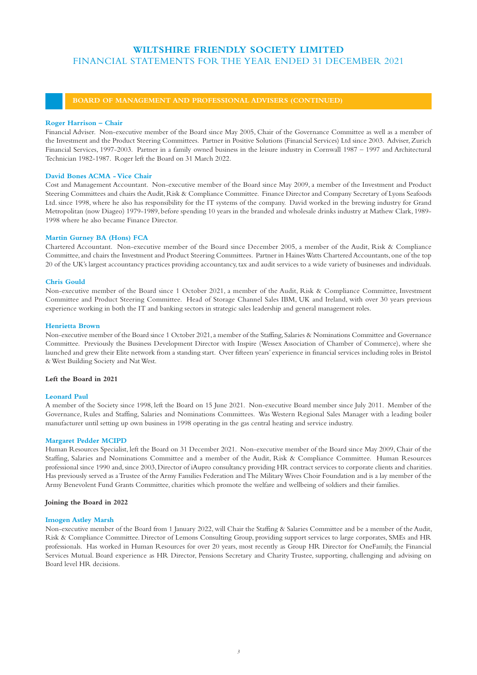## **BOARD OF MANAGEMENT AND PROFESSIONAL ADVISERS (CONTINUED)**

### **Roger Harrison – Chair**

Financial Adviser. Non-executive member of the Board since May 2005, Chair of the Governance Committee as well as a member of the Investment and the Product Steering Committees. Partner in Positive Solutions (Financial Services) Ltd since 2003. Adviser, Zurich Financial Services, 1997-2003. Partner in a family owned business in the leisure industry in Cornwall 1987 – 1997 and Architectural Technician 1982-1987. Roger left the Board on 31 March 2022.

## **David Bones ACMA - Vice Chair**

Cost and Management Accountant. Non-executive member of the Board since May 2009, a member of the Investment and Product Steering Committees and chairs the Audit, Risk & Compliance Committee. Finance Director and Company Secretary of Lyons Seafoods Ltd. since 1998, where he also has responsibility for the IT systems of the company. David worked in the brewing industry for Grand Metropolitan (now Diageo) 1979-1989, before spending 10 years in the branded and wholesale drinks industry at Mathew Clark, 1989- 1998 where he also became Finance Director.

## **Martin Gurney BA (Hons) FCA**

Chartered Accountant. Non-executive member of the Board since December 2005, a member of the Audit, Risk & Compliance Committee, and chairs the Investment and Product Steering Committees. Partner in Haines Watts Chartered Accountants, one of the top 20 of the UK's largest accountancy practices providing accountancy, tax and audit services to a wide variety of businesses and individuals.

## **Chris Gould**

Non-executive member of the Board since 1 October 2021, a member of the Audit, Risk & Compliance Committee, Investment Committee and Product Steering Committee. Head of Storage Channel Sales IBM, UK and Ireland, with over 30 years previous experience working in both the IT and banking sectors in strategic sales leadership and general management roles.

### **Henrietta Brown**

Non-executive member of the Board since 1 October 2021, a member of the Staffing, Salaries & Nominations Committee and Governance Committee. Previously the Business Development Director with Inspire (Wessex Association of Chamber of Commerce), where she launched and grew their Elite network from a standing start. Over fifteen years' experience in financial services including roles in Bristol & West Building Society and Nat West.

## **Left the Board in 2021**

### **Leonard Paul**

A member of the Society since 1998, left the Board on 15 June 2021. Non-executive Board member since July 2011. Member of the Governance, Rules and Staffing, Salaries and Nominations Committees. Was Western Regional Sales Manager with a leading boiler manufacturer until setting up own business in 1998 operating in the gas central heating and service industry.

### **Margaret Pedder MCIPD**

Human Resources Specialist, left the Board on 31 December 2021. Non-executive member of the Board since May 2009, Chair of the Staffing, Salaries and Nominations Committee and a member of the Audit, Risk & Compliance Committee. Human Resources professional since 1990 and, since 2003, Director of iAupro consultancy providing HR contract services to corporate clients and charities. Has previously served as a Trustee of the Army Families Federation and The Military Wives Choir Foundation and is a lay member of the Army Benevolent Fund Grants Committee, charities which promote the welfare and wellbeing of soldiers and their families.

### **Joining the Board in 2022**

### **Imogen Astley Marsh**

Non-executive member of the Board from 1 January 2022, will Chair the Staffing & Salaries Committee and be a member of the Audit, Risk & Compliance Committee. Director of Lemons Consulting Group, providing support services to large corporates, SMEs and HR professionals. Has worked in Human Resources for over 20 years, most recently as Group HR Director for OneFamily, the Financial Services Mutual. Board experience as HR Director, Pensions Secretary and Charity Trustee, supporting, challenging and advising on Board level HR decisions.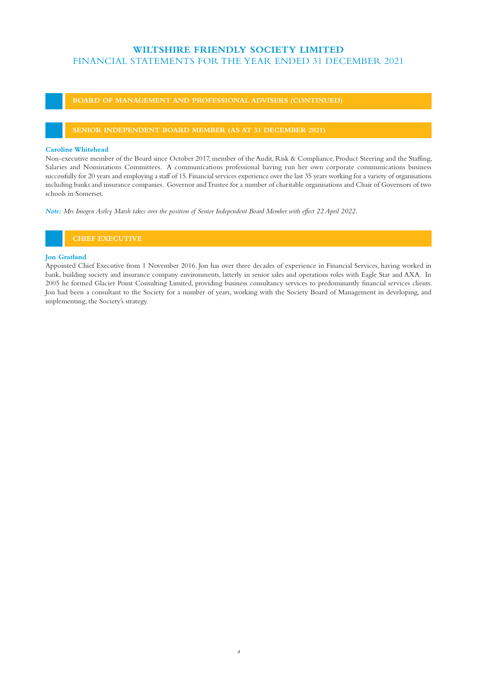**BOARD OF MANAGEMENT AND PROFESSIONAL ADVISERS (CONTINUED)**

## **SENIOR INDEPENDENT BOARD MEMBER (AS AT 31 DECEMBER 2021)**

### **Caroline Whitehead**

Non-executive member of the Board since October 2017, member of the Audit, Risk & Compliance, Product Steering and the Staffing, Salaries and Nominations Committees. A communications professional having run her own corporate communications business successfully for 20 years and employing a staff of 15. Financial services experience over the last 35 years working for a variety of organisations including banks and insurance companies. Governor and Trustee for a number of charitable organisations and Chair of Governors of two schools in Somerset.

*Note: Mrs Imogen Astley Marsh takes over the position of Senior Independent Board Member with effect 22 April 2022.*

## **CHIEF EXECUTIVE**

## **Jon Gratland**

Appointed Chief Executive from 1 November 2016. Jon has over three decades of experience in Financial Services, having worked in bank, building society and insurance company environments, latterly in senior sales and operations roles with Eagle Star and AXA. In 2005 he formed Glacier Point Consulting Limited, providing business consultancy services to predominantly financial services clients. Jon had been a consultant to the Society for a number of years, working with the Society Board of Management in developing, and implementing, the Society's strategy.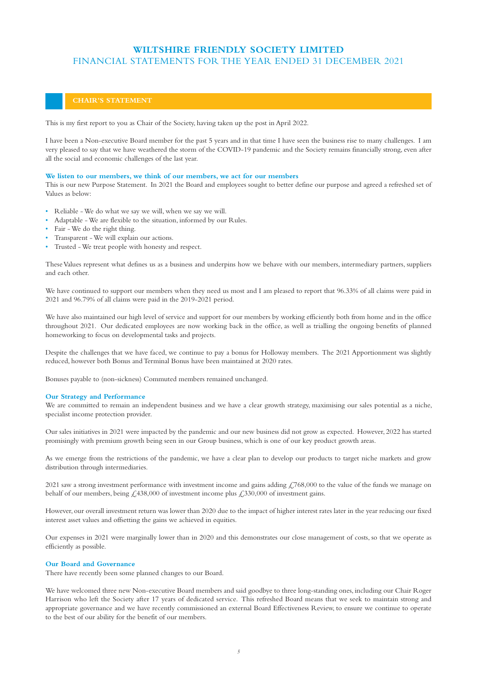This is my first report to you as Chair of the Society, having taken up the post in April 2022.

I have been a Non-executive Board member for the past 5 years and in that time I have seen the business rise to many challenges. I am very pleased to say that we have weathered the storm of the COVID-19 pandemic and the Society remains financially strong, even after all the social and economic challenges of the last year.

### **We listen to our members, we think of our members, we act for our members**

This is our new Purpose Statement. In 2021 the Board and employees sought to better define our purpose and agreed a refreshed set of Values as below:

- Reliable We do what we say we will, when we say we will.
- Adaptable We are flexible to the situation, informed by our Rules.
- Fair We do the right thing.
- Transparent We will explain our actions.
- Trusted We treat people with honesty and respect.

These Values represent what defines us as a business and underpins how we behave with our members, intermediary partners, suppliers and each other.

We have continued to support our members when they need us most and I am pleased to report that 96.33% of all claims were paid in 2021 and 96.79% of all claims were paid in the 2019-2021 period.

We have also maintained our high level of service and support for our members by working efficiently both from home and in the office throughout 2021. Our dedicated employees are now working back in the office, as well as trialling the ongoing benefits of planned homeworking to focus on developmental tasks and projects.

Despite the challenges that we have faced, we continue to pay a bonus for Holloway members. The 2021 Apportionment was slightly reduced, however both Bonus and Terminal Bonus have been maintained at 2020 rates.

Bonuses payable to (non-sickness) Commuted members remained unchanged.

### **Our Strategy and Performance**

We are committed to remain an independent business and we have a clear growth strategy, maximising our sales potential as a niche, specialist income protection provider.

Our sales initiatives in 2021 were impacted by the pandemic and our new business did not grow as expected. However, 2022 has started promisingly with premium growth being seen in our Group business, which is one of our key product growth areas.

As we emerge from the restrictions of the pandemic, we have a clear plan to develop our products to target niche markets and grow distribution through intermediaries.

2021 saw a strong investment performance with investment income and gains adding  $\text{\textsterling}768,000$  to the value of the funds we manage on behalf of our members, being  $\text{\textsterling}438,000$  of investment income plus  $\text{\textsterling}330,000$  of investment gains.

However, our overall investment return was lower than 2020 due to the impact of higher interest rates later in the year reducing our fixed interest asset values and offsetting the gains we achieved in equities.

Our expenses in 2021 were marginally lower than in 2020 and this demonstrates our close management of costs, so that we operate as efficiently as possible.

### **Our Board and Governance**

There have recently been some planned changes to our Board.

We have welcomed three new Non-executive Board members and said goodbye to three long-standing ones, including our Chair Roger Harrison who left the Society after 17 years of dedicated service. This refreshed Board means that we seek to maintain strong and appropriate governance and we have recently commissioned an external Board Effectiveness Review, to ensure we continue to operate to the best of our ability for the benefit of our members.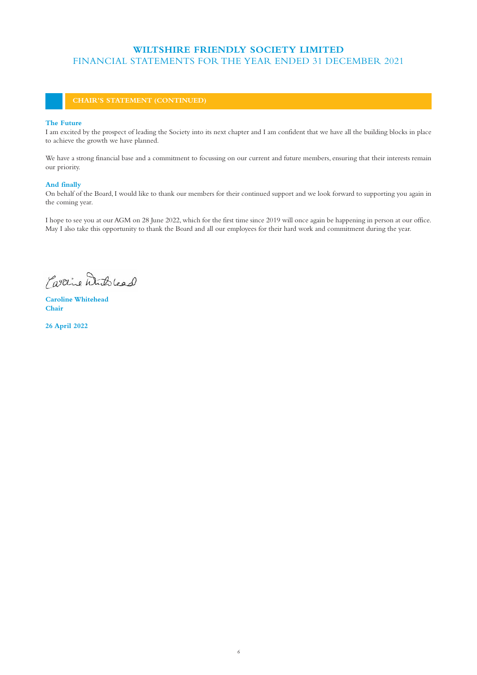### **The Future**

I am excited by the prospect of leading the Society into its next chapter and I am confident that we have all the building blocks in place to achieve the growth we have planned.

We have a strong financial base and a commitment to focussing on our current and future members, ensuring that their interests remain our priority.

## **And finally**

On behalf of the Board, I would like to thank our members for their continued support and we look forward to supporting you again in the coming year.

I hope to see you at our AGM on 28 June 2022, which for the first time since 2019 will once again be happening in person at our office. May I also take this opportunity to thank the Board and all our employees for their hard work and commitment during the year.

Partine With lead

**Caroline Whitehead Chair** 

**26 April 2022**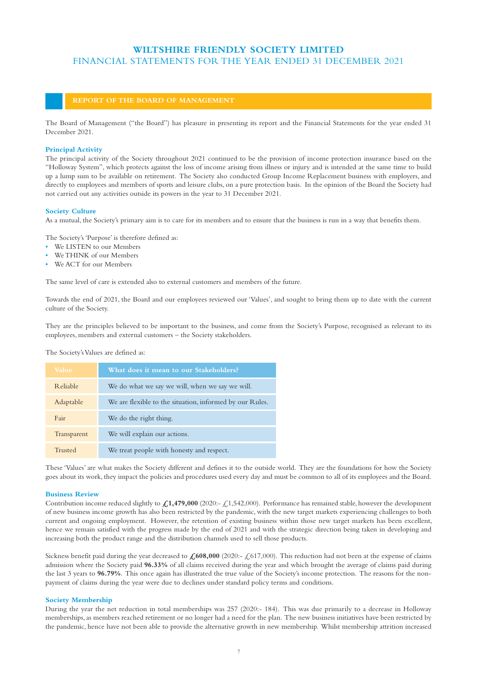## **REPORT OF THE BOARD OF MANAGEMENT**

The Board of Management ("the Board") has pleasure in presenting its report and the Financial Statements for the year ended 31 December 2021.

#### **Principal Activity**

The principal activity of the Society throughout 2021 continued to be the provision of income protection insurance based on the "Holloway System", which protects against the loss of income arising from illness or injury and is intended at the same time to build up a lump sum to be available on retirement. The Society also conducted Group Income Replacement business with employers, and directly to employees and members of sports and leisure clubs, on a pure protection basis. In the opinion of the Board the Society had not carried out any activities outside its powers in the year to 31 December 2021.

#### **Society Culture**

As a mutual, the Society's primary aim is to care for its members and to ensure that the business is run in a way that benefits them.

The Society's 'Purpose' is therefore defined as:

- We LISTEN to our Members
- We THINK of our Members
- We ACT for our Members

The same level of care is extended also to external customers and members of the future.

Towards the end of 2021, the Board and our employees reviewed our 'Values', and sought to bring them up to date with the current culture of the Society.

They are the principles believed to be important to the business, and come from the Society's Purpose, recognised as relevant to its employees, members and external customers – the Society stakeholders.

The Society's Values are defined as:

| <b>Value</b>    | What does it mean to our Stakeholders?                   |
|-----------------|----------------------------------------------------------|
| <b>Reliable</b> | We do what we say we will, when we say we will.          |
| Adaptable       | We are flexible to the situation, informed by our Rules. |
| Fair            | We do the right thing.                                   |
| Transparent     | We will explain our actions.                             |
| Trusted         | We treat people with honesty and respect.                |

These 'Values' are what makes the Society different and defines it to the outside world. They are the foundations for how the Society goes about its work, they impact the policies and procedures used every day and must be common to all of its employees and the Board.

## **Business Review**

Contribution income reduced slightly to **£1,479,000** (2020:- £1,542,000). Performance has remained stable, however the development of new business income growth has also been restricted by the pandemic, with the new target markets experiencing challenges to both current and ongoing employment. However, the retention of existing business within those new target markets has been excellent, hence we remain satisfied with the progress made by the end of 2021 and with the strategic direction being taken in developing and increasing both the product range and the distribution channels used to sell those products.

Sickness benefit paid during the year decreased to  $\angle 608,000$  (2020:- $\angle 617,000$ ). This reduction had not been at the expense of claims admission where the Society paid **96.33%** of all claims received during the year and which brought the average of claims paid during the last 3 years to **96.79%**. This once again has illustrated the true value of the Society's income protection. The reasons for the nonpayment of claims during the year were due to declines under standard policy terms and conditions.

## **Society Membership**

During the year the net reduction in total memberships was 257 (2020:- 184). This was due primarily to a decrease in Holloway memberships, as members reached retirement or no longer had a need for the plan. The new business initiatives have been restricted by the pandemic, hence have not been able to provide the alternative growth in new membership. Whilst membership attrition increased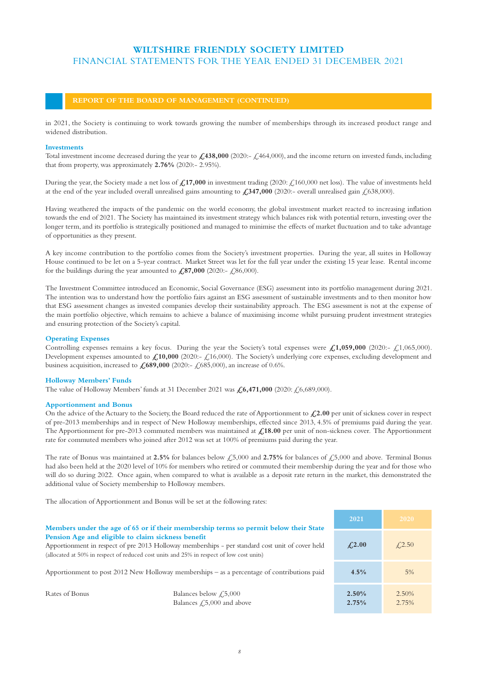## **REPORT OF THE BOARD OF MANAGEMENT (CONTINUED)**

in 2021, the Society is continuing to work towards growing the number of memberships through its increased product range and widened distribution.

### **Investments**

Total investment income decreased during the year to  $\angle$ 438,000 (2020:-  $\angle$ 464,000), and the income return on invested funds, including that from property, was approximately **2.76%** (2020:- 2.95%).

During the year, the Society made a net loss of  $\mathcal{L}17,000$  in investment trading (2020:  $\mathcal{L}160,000$  net loss). The value of investments held at the end of the year included overall unrealised gains amounting to  $\angle 347,000$  (2020:- overall unrealised gain  $\angle 638,000$ ).

Having weathered the impacts of the pandemic on the world economy, the global investment market reacted to increasing inflation towards the end of 2021. The Society has maintained its investment strategy which balances risk with potential return, investing over the longer term, and its portfolio is strategically positioned and managed to minimise the effects of market fluctuation and to take advantage of opportunities as they present.

A key income contribution to the portfolio comes from the Society's investment properties. During the year, all suites in Holloway House continued to be let on a 5-year contract. Market Street was let for the full year under the existing 15 year lease. Rental income for the buildings during the year amounted to  $\angle 87,000$  (2020:-  $\angle 86,000$ ).

The Investment Committee introduced an Economic, Social Governance (ESG) assessment into its portfolio management during 2021. The intention was to understand how the portfolio fairs against an ESG assessment of sustainable investments and to then monitor how that ESG assessment changes as invested companies develop their sustainability approach. The ESG assessment is not at the expense of the main portfolio objective, which remains to achieve a balance of maximising income whilst pursuing prudent investment strategies and ensuring protection of the Society's capital.

### **Operating Expenses**

Controlling expenses remains a key focus. During the year the Society's total expenses were  $\mathcal{L}1,059,000$  (2020:-  $\mathcal{L}1,065,000$ ). Development expenses amounted to  $\angle 10,000$  (2020:- $\angle 16,000$ ). The Society's underlying core expenses, excluding development and business acquisition, increased to  $\angle 689,000$  (2020:-  $\angle 685,000$ ), an increase of 0.6%.

### **Holloway Members' Funds**

The value of Holloway Members' funds at 31 December 2021 was **£6,471,000** (2020: £6,689,000).

#### **Apportionment and Bonus**

On the advice of the Actuary to the Society, the Board reduced the rate of Apportionment to  $\mathcal{L}2.00$  per unit of sickness cover in respect of pre-2013 memberships and in respect of New Holloway memberships, effected since 2013, 4.5% of premiums paid during the year. The Apportionment for pre-2013 commuted members was maintained at **£18.00** per unit of non-sickness cover. The Apportionment rate for commuted members who joined after 2012 was set at 100% of premiums paid during the year.

The rate of Bonus was maintained at 2.5% for balances below  $\text{\textsterling}5,000$  and 2.75% for balances of  $\text{\textsterling}5,000$  and above. Terminal Bonus had also been held at the 2020 level of 10% for members who retired or commuted their membership during the year and for those who will do so during 2022. Once again, when compared to what is available as a deposit rate return in the market, this demonstrated the additional value of Society membership to Holloway members.

The allocation of Apportionment and Bonus will be set at the following rates:

|                                                                                                                                                                                                                                                    | Members under the age of 65 or if their membership terms so permit below their State | 2021                 | 2020           |
|----------------------------------------------------------------------------------------------------------------------------------------------------------------------------------------------------------------------------------------------------|--------------------------------------------------------------------------------------|----------------------|----------------|
| Pension Age and eligible to claim sickness benefit<br>Apportionment in respect of pre 2013 Holloway memberships - per standard cost unit of cover held<br>(allocated at 50% in respect of reduced cost units and 25% in respect of low cost units) |                                                                                      | $\angle 2.00$        | $\angle 2.50$  |
| Apportionment to post $2012$ New Holloway memberships – as a percentage of contributions paid                                                                                                                                                      |                                                                                      |                      | 5%             |
| Rates of Bonus                                                                                                                                                                                                                                     | Balances below $\text{\textsterling}5,000$<br>Balances $\angle 5,000$ and above      | $2.50\%$<br>$2.75\%$ | 2.50%<br>2.75% |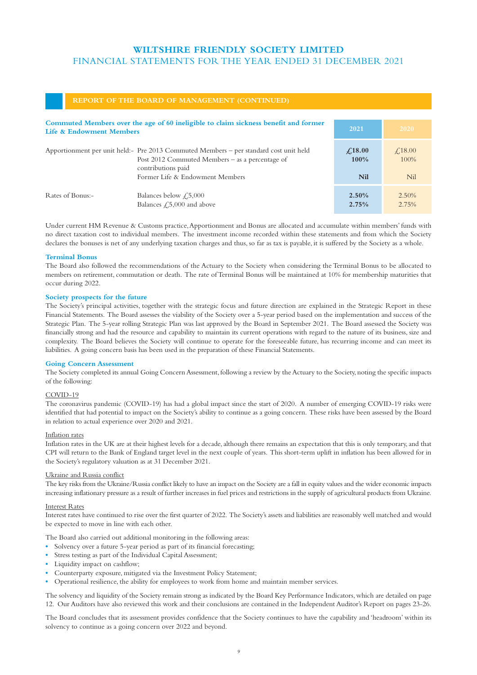## **REPORT OF THE BOARD OF MANAGEMENT (CONTINUED)**

| Commuted Members over the age of 60 ineligible to claim sickness benefit and former<br>Life & Endowment Members |                                                                                                                                                                   | 2021                      | 2020                   |
|-----------------------------------------------------------------------------------------------------------------|-------------------------------------------------------------------------------------------------------------------------------------------------------------------|---------------------------|------------------------|
|                                                                                                                 | Apportionment per unit held: - Pre 2013 Commuted Members – per standard cost unit held<br>Post $2012$ Commuted Members – as a percentage of<br>contributions paid | $\angle 18.00$<br>$100\%$ | $\angle 18.00$<br>100% |
|                                                                                                                 | Former Life & Endowment Members                                                                                                                                   | <b>Nil</b>                | <b>Nil</b>             |
| Rates of Bonus:-                                                                                                | Balances below $\sqrt{.5,000}$<br>Balances $\text{\textsterling}5,000$ and above                                                                                  | $2.50\%$<br>2.75%         | 2.50%<br>2.75%         |

Under current HM Revenue & Customs practice, Apportionment and Bonus are allocated and accumulate within members' funds with no direct taxation cost to individual members. The investment income recorded within these statements and from which the Society declares the bonuses is net of any underlying taxation charges and thus, so far as tax is payable, it is suffered by the Society as a whole.

### **Terminal Bonus**

The Board also followed the recommendations of the Actuary to the Society when considering the Terminal Bonus to be allocated to members on retirement, commutation or death. The rate of Terminal Bonus will be maintained at 10% for membership maturities that occur during 2022.

#### **Society prospects for the future**

The Society's principal activities, together with the strategic focus and future direction are explained in the Strategic Report in these Financial Statements. The Board assesses the viability of the Society over a 5-year period based on the implementation and success of the Strategic Plan. The 5-year rolling Strategic Plan was last approved by the Board in September 2021. The Board assessed the Society was financially strong and had the resource and capability to maintain its current operations with regard to the nature of its business, size and complexity. The Board believes the Society will continue to operate for the foreseeable future, has recurring income and can meet its liabilities. A going concern basis has been used in the preparation of these Financial Statements.

#### **Going Concern Assessment**

The Society completed its annual Going Concern Assessment, following a review by the Actuary to the Society, noting the specific impacts of the following:

### COVID-19

The coronavirus pandemic (COVID-19) has had a global impact since the start of 2020. A number of emerging COVID-19 risks were identified that had potential to impact on the Society's ability to continue as a going concern. These risks have been assessed by the Board in relation to actual experience over 2020 and 2021.

#### Inflation rates

Inflation rates in the UK are at their highest levels for a decade, although there remains an expectation that this is only temporary, and that CPI will return to the Bank of England target level in the next couple of years. This short-term uplift in inflation has been allowed for in the Society's regulatory valuation as at 31 December 2021.

## Ukraine and Russia conflict

The key risks from the Ukraine/Russia conflict likely to have an impact on the Society are a fall in equity values and the wider economic impacts increasing inflationary pressure as a result of further increases in fuel prices and restrictions in the supply of agricultural products from Ukraine.

### Interest Rates

Interest rates have continued to rise over the first quarter of 2022. The Society's assets and liabilities are reasonably well matched and would be expected to move in line with each other.

The Board also carried out additional monitoring in the following areas:

- **•** Solvency over a future 5-year period as part of its financial forecasting;
- **•** Stress testing as part of the Individual Capital Assessment;
- **•** Liquidity impact on cashflow;
- Counterparty exposure, mitigated via the Investment Policy Statement;
- **•** Operational resilience, the ability for employees to work from home and maintain member services.

The solvency and liquidity of the Society remain strong as indicated by the Board Key Performance Indicators, which are detailed on page 12. Our Auditors have also reviewed this work and their conclusions are contained in the Independent Auditor's Report on pages 23-26.

The Board concludes that its assessment provides confidence that the Society continues to have the capability and 'headroom' within its solvency to continue as a going concern over 2022 and beyond.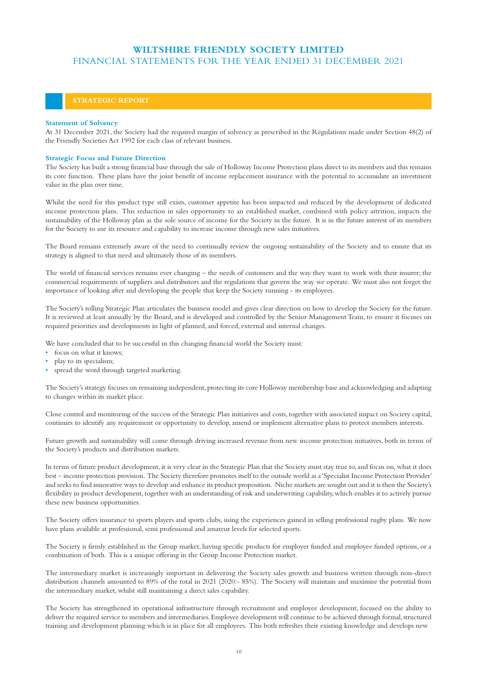## **STRATEGIC REPORT**

### **Statement of Solvency**

At 31 December 2021, the Society had the required margin of solvency as prescribed in the Regulations made under Section 48(2) of the Friendly Societies Act 1992 for each class of relevant business.

## **Strategic Focus and Future Direction**

The Society has built a strong financial base through the sale of Holloway Income Protection plans direct to its members and this remains its core function. These plans have the joint benefit of income replacement insurance with the potential to accumulate an investment value in the plan over time.

Whilst the need for this product type still exists, customer appetite has been impacted and reduced by the development of dedicated income protection plans. This reduction in sales opportunity to an established market, combined with policy attrition, impacts the sustainability of the Holloway plan as the sole source of income for the Society in the future. It is in the future interest of its members for the Society to use its resource and capability to increase income through new sales initiatives.

The Board remains extremely aware of the need to continually review the ongoing sustainability of the Society and to ensure that its strategy is aligned to that need and ultimately those of its members.

The world of financial services remains ever changing – the needs of customers and the way they want to work with their insurer; the commercial requirements of suppliers and distributors and the regulations that govern the way we operate. We must also not forget the importance of looking after and developing the people that keep the Society running - its employees.

The Society's rolling Strategic Plan articulates the business model and gives clear direction on how to develop the Society for the future. It is reviewed at least annually by the Board, and is developed and controlled by the Senior Management Team, to ensure it focuses on required priorities and developments in light of planned, and forced, external and internal changes.

We have concluded that to be successful in this changing financial world the Society must:

- focus on what it knows;
- play to its specialism;
- spread the word through targeted marketing.

The Society's strategy focuses on remaining independent, protecting its core Holloway membership base and acknowledging and adapting to changes within its market place.

Close control and monitoring of the success of the Strategic Plan initiatives and costs, together with associated impact on Society capital, continues to identify any requirement or opportunity to develop, amend or implement alternative plans to protect members interests.

Future growth and sustainability will come through driving increased revenue from new income protection initiatives, both in terms of the Society's products and distribution markets.

In terms of future product development, it is very clear in the Strategic Plan that the Society must stay true to, and focus on, what it does best – income protection provision. The Society therefore promotes itself to the outside world as a 'Specialist Income Protection Provider' and seeks to find innovative ways to develop and enhance its product proposition. Niche markets are sought out and it is then the Society's flexibility in product development, together with an understanding of risk and underwriting capability, which enables it to actively pursue these new business opportunities.

The Society offers insurance to sports players and sports clubs, using the experiences gained in selling professional rugby plans. We now have plans available at professional, semi professional and amateur levels for selected sports.

The Society is firmly established in the Group market, having specific products for employer funded and employee funded options, or a combination of both. This is a unique offering in the Group Income Protection market.

The intermediary market is increasingly important in delivering the Society sales growth and business written through non-direct distribution channels amounted to 89% of the total in 2021 (2020:- 85%). The Society will maintain and maximise the potential from the intermediary market, whilst still maintaining a direct sales capability.

The Society has strengthened its operational infrastructure through recruitment and employee development, focused on the ability to deliver the required service to members and intermediaries. Employee development will continue to be achieved through formal, structured training and development planning which is in place for all employees. This both refreshes their existing knowledge and develops new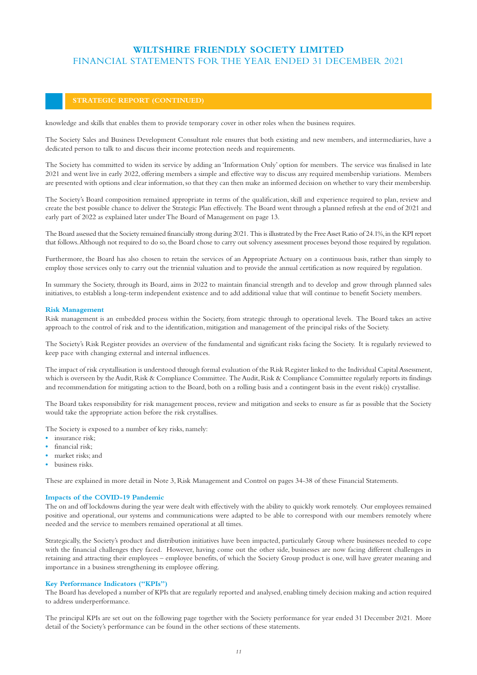## **STRATEGIC REPORT (CONTINUED)**

knowledge and skills that enables them to provide temporary cover in other roles when the business requires.

The Society Sales and Business Development Consultant role ensures that both existing and new members, and intermediaries, have a dedicated person to talk to and discuss their income protection needs and requirements.

The Society has committed to widen its service by adding an 'Information Only' option for members. The service was finalised in late 2021 and went live in early 2022, offering members a simple and effective way to discuss any required membership variations. Members are presented with options and clear information, so that they can then make an informed decision on whether to vary their membership.

The Society's Board composition remained appropriate in terms of the qualification, skill and experience required to plan, review and create the best possible chance to deliver the Strategic Plan effectively. The Board went through a planned refresh at the end of 2021 and early part of 2022 as explained later under The Board of Management on page 13.

The Board assessed that the Society remained financially strong during 2021. This is illustrated by the Free Asset Ratio of 24.1%, in the KPI report that follows. Although not required to do so, the Board chose to carry out solvency assessment processes beyond those required by regulation.

Furthermore, the Board has also chosen to retain the services of an Appropriate Actuary on a continuous basis, rather than simply to employ those services only to carry out the triennial valuation and to provide the annual certification as now required by regulation.

In summary the Society, through its Board, aims in 2022 to maintain financial strength and to develop and grow through planned sales initiatives, to establish a long-term independent existence and to add additional value that will continue to benefit Society members.

### **Risk Management**

Risk management is an embedded process within the Society, from strategic through to operational levels. The Board takes an active approach to the control of risk and to the identification, mitigation and management of the principal risks of the Society.

The Society's Risk Register provides an overview of the fundamental and significant risks facing the Society. It is regularly reviewed to keep pace with changing external and internal influences.

The impact of risk crystallisation is understood through formal evaluation of the Risk Register linked to the Individual Capital Assessment, which is overseen by the Audit, Risk & Compliance Committee. The Audit, Risk & Compliance Committee regularly reports its findings and recommendation for mitigating action to the Board, both on a rolling basis and a contingent basis in the event risk(s) crystallise.

The Board takes responsibility for risk management process, review and mitigation and seeks to ensure as far as possible that the Society would take the appropriate action before the risk crystallises.

The Society is exposed to a number of key risks, namely:

- insurance risk<sup>•</sup>
- **•** financial risk;
- **•** market risks; and
- **•** business risks.

These are explained in more detail in Note 3, Risk Management and Control on pages 34-38 of these Financial Statements.

## **Impacts of the COVID-19 Pandemic**

The on and off lockdowns during the year were dealt with effectively with the ability to quickly work remotely. Our employees remained positive and operational, our systems and communications were adapted to be able to correspond with our members remotely where needed and the service to members remained operational at all times.

Strategically, the Society's product and distribution initiatives have been impacted, particularly Group where businesses needed to cope with the financial challenges they faced. However, having come out the other side, businesses are now facing different challenges in retaining and attracting their employees – employee benefits, of which the Society Group product is one, will have greater meaning and importance in a business strengthening its employee offering.

### **Key Performance Indicators ("KPIs")**

The Board has developed a number of KPIs that are regularly reported and analysed, enabling timely decision making and action required to address underperformance.

The principal KPIs are set out on the following page together with the Society performance for year ended 31 December 2021. More detail of the Society's performance can be found in the other sections of these statements.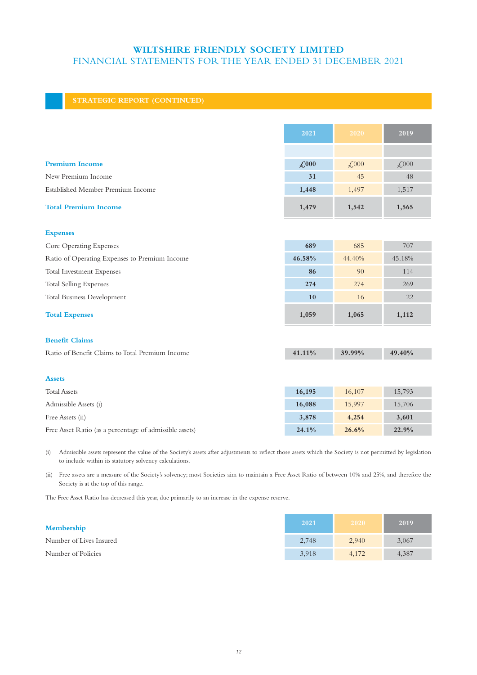## **STRATEGIC REPORT (CONTINUED)**

|                                                 | 2021         | 2020                | 2019         |
|-------------------------------------------------|--------------|---------------------|--------------|
|                                                 |              |                     |              |
| <b>Premium Income</b>                           | $\angle 000$ | $\mathcal{L}^{000}$ | $\angle 000$ |
| New Premium Income                              | 31           | 45                  | 48           |
| Established Member Premium Income               | 1,448        | 1,497               | 1,517        |
| <b>Total Premium Income</b>                     | 1,479        | 1,542               | 1,565        |
| <b>Expenses</b>                                 |              |                     |              |
| Core Operating Expenses                         | 689          | 685                 | 707          |
| Ratio of Operating Expenses to Premium Income   | 46.58%       | 44.40%              | 45.18%       |
| Total Investment Expenses                       | 86           | 90                  | 114          |
| <b>Total Selling Expenses</b>                   | 274          | 274                 | 269          |
| <b>Total Business Development</b>               | 10           | 16                  | 22           |
| <b>Total Expenses</b>                           | 1,059        | 1,065               | 1,112        |
| <b>Benefit Claims</b>                           |              |                     |              |
| Ratio of Benefit Claims to Total Premium Income | 41.11%       | 39.99%              | 49.40%       |
|                                                 |              |                     |              |
| <b>Assets</b>                                   |              |                     |              |
| <b>Total Assets</b>                             | 16,195       | 16,107              | 15,793       |
| Admissible Assets (i)                           | 16,088       | 15,997              | 15,706       |

Free Assets (ii) **3,878 4,254 3,601** 

Free Asset Ratio (as a percentage of admissible assets) **24.1% 26.6% 22.9%** 

(i) Admissible assets represent the value of the Society's assets after adjustments to reflect those assets which the Society is not permitted by legislation to include within its statutory solvency calculations.

(ii) Free assets are a measure of the Society's solvency; most Societies aim to maintain a Free Asset Ratio of between 10% and 25%, and therefore the Society is at the top of this range.

The Free Asset Ratio has decreased this year, due primarily to an increase in the expense reserve.

| Membership              | 2021  | 2020  | 2019  |
|-------------------------|-------|-------|-------|
| Number of Lives Insured | 2,748 | 2,940 | 3,067 |
| Number of Policies      | 3.918 | 4.172 | 4,387 |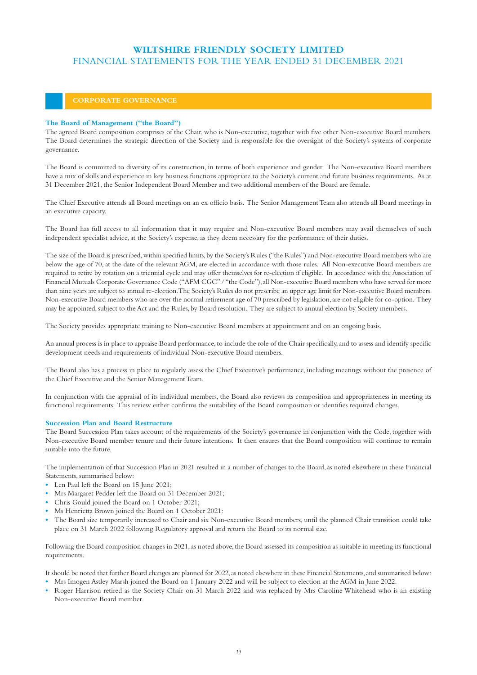## **The Board of Management ("the Board")**

The agreed Board composition comprises of the Chair, who is Non-executive, together with five other Non-executive Board members. The Board determines the strategic direction of the Society and is responsible for the oversight of the Society's systems of corporate governance.

The Board is committed to diversity of its construction, in terms of both experience and gender. The Non-executive Board members have a mix of skills and experience in key business functions appropriate to the Society's current and future business requirements. As at 31 December 2021, the Senior Independent Board Member and two additional members of the Board are female.

The Chief Executive attends all Board meetings on an ex officio basis. The Senior Management Team also attends all Board meetings in an executive capacity.

The Board has full access to all information that it may require and Non-executive Board members may avail themselves of such independent specialist advice, at the Society's expense, as they deem necessary for the performance of their duties.

The size of the Board is prescribed, within specified limits, by the Society's Rules ("the Rules") and Non-executive Board members who are below the age of 70, at the date of the relevant AGM, are elected in accordance with those rules. All Non-executive Board members are required to retire by rotation on a triennial cycle and may offer themselves for re-election if eligible. In accordance with the Association of Financial Mutuals Corporate Governance Code ("AFM CGC" / "the Code"), all Non-executive Board members who have served for more than nine years are subject to annual re-election. The Society's Rules do not prescribe an upper age limit for Non-executive Board members. Non-executive Board members who are over the normal retirement age of 70 prescribed by legislation, are not eligible for co-option. They may be appointed, subject to the Act and the Rules, by Board resolution. They are subject to annual election by Society members.

The Society provides appropriate training to Non-executive Board members at appointment and on an ongoing basis.

An annual process is in place to appraise Board performance, to include the role of the Chair specifically, and to assess and identify specific development needs and requirements of individual Non-executive Board members.

The Board also has a process in place to regularly assess the Chief Executive's performance, including meetings without the presence of the Chief Executive and the Senior Management Team.

In conjunction with the appraisal of its individual members, the Board also reviews its composition and appropriateness in meeting its functional requirements. This review either confirms the suitability of the Board composition or identifies required changes.

### **Succession Plan and Board Restructure**

The Board Succession Plan takes account of the requirements of the Society's governance in conjunction with the Code, together with Non-executive Board member tenure and their future intentions. It then ensures that the Board composition will continue to remain suitable into the future.

The implementation of that Succession Plan in 2021 resulted in a number of changes to the Board, as noted elsewhere in these Financial Statements, summarised below:

- **•** Len Paul left the Board on 15 June 2021;
- **•** Mrs Margaret Pedder left the Board on 31 December 2021;
- **•** Chris Gould joined the Board on 1 October 2021;
- **•** Ms Henrietta Brown joined the Board on 1 October 2021:
- **•** The Board size temporarily increased to Chair and six Non-executive Board members, until the planned Chair transition could take place on 31 March 2022 following Regulatory approval and return the Board to its normal size.

Following the Board composition changes in 2021, as noted above, the Board assessed its composition as suitable in meeting its functional requirements.

It should be noted that further Board changes are planned for 2022, as noted elsewhere in these Financial Statements, and summarised below:

- **•** Mrs Imogen Astley Marsh joined the Board on 1 January 2022 and will be subject to election at the AGM in June 2022.
- **•** Roger Harrison retired as the Society Chair on 31 March 2022 and was replaced by Mrs Caroline Whitehead who is an existing Non-executive Board member.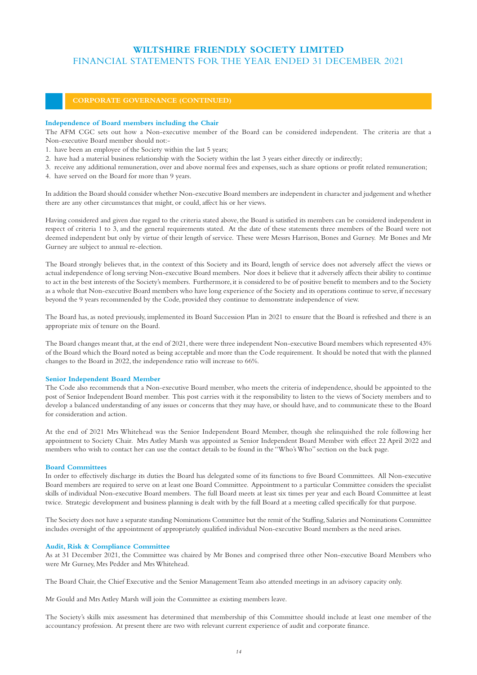#### **Independence of Board members including the Chair**

The AFM CGC sets out how a Non-executive member of the Board can be considered independent. The criteria are that a Non-executive Board member should not:-

- 1. have been an employee of the Society within the last 5 years;
- 2. have had a material business relationship with the Society within the last 3 years either directly or indirectly;
- 3. receive any additional remuneration, over and above normal fees and expenses, such as share options or profit related remuneration;
- 4. have served on the Board for more than 9 years.

In addition the Board should consider whether Non-executive Board members are independent in character and judgement and whether there are any other circumstances that might, or could, affect his or her views.

Having considered and given due regard to the criteria stated above, the Board is satisfied its members can be considered independent in respect of criteria 1 to 3, and the general requirements stated. At the date of these statements three members of the Board were not deemed independent but only by virtue of their length of service. These were Messrs Harrison, Bones and Gurney. Mr Bones and Mr Gurney are subject to annual re-election.

The Board strongly believes that, in the context of this Society and its Board, length of service does not adversely affect the views or actual independence of long serving Non-executive Board members. Nor does it believe that it adversely affects their ability to continue to act in the best interests of the Society's members. Furthermore, it is considered to be of positive benefit to members and to the Society as a whole that Non-executive Board members who have long experience of the Society and its operations continue to serve, if necessary beyond the 9 years recommended by the Code, provided they continue to demonstrate independence of view.

The Board has, as noted previously, implemented its Board Succession Plan in 2021 to ensure that the Board is refreshed and there is an appropriate mix of tenure on the Board.

The Board changes meant that, at the end of 2021, there were three independent Non-executive Board members which represented 43% of the Board which the Board noted as being acceptable and more than the Code requirement. It should be noted that with the planned changes to the Board in 2022, the independence ratio will increase to 66%.

#### **Senior Independent Board Member**

The Code also recommends that a Non-executive Board member, who meets the criteria of independence, should be appointed to the post of Senior Independent Board member. This post carries with it the responsibility to listen to the views of Society members and to develop a balanced understanding of any issues or concerns that they may have, or should have, and to communicate these to the Board for consideration and action.

At the end of 2021 Mrs Whitehead was the Senior Independent Board Member, though she relinquished the role following her appointment to Society Chair. Mrs Astley Marsh was appointed as Senior Independent Board Member with effect 22 April 2022 and members who wish to contact her can use the contact details to be found in the "Who's Who" section on the back page.

#### **Board Committees**

In order to effectively discharge its duties the Board has delegated some of its functions to five Board Committees. All Non-executive Board members are required to serve on at least one Board Committee. Appointment to a particular Committee considers the specialist skills of individual Non-executive Board members. The full Board meets at least six times per year and each Board Committee at least twice. Strategic development and business planning is dealt with by the full Board at a meeting called specifically for that purpose.

The Society does not have a separate standing Nominations Committee but the remit of the Staffing, Salaries and Nominations Committee includes oversight of the appointment of appropriately qualified individual Non-executive Board members as the need arises.

#### **Audit, Risk & Compliance Committee**

As at 31 December 2021, the Committee was chaired by Mr Bones and comprised three other Non-executive Board Members who were Mr Gurney, Mrs Pedder and Mrs Whitehead.

The Board Chair, the Chief Executive and the Senior Management Team also attended meetings in an advisory capacity only.

Mr Gould and Mrs Astley Marsh will join the Committee as existing members leave.

The Society's skills mix assessment has determined that membership of this Committee should include at least one member of the accountancy profession. At present there are two with relevant current experience of audit and corporate finance.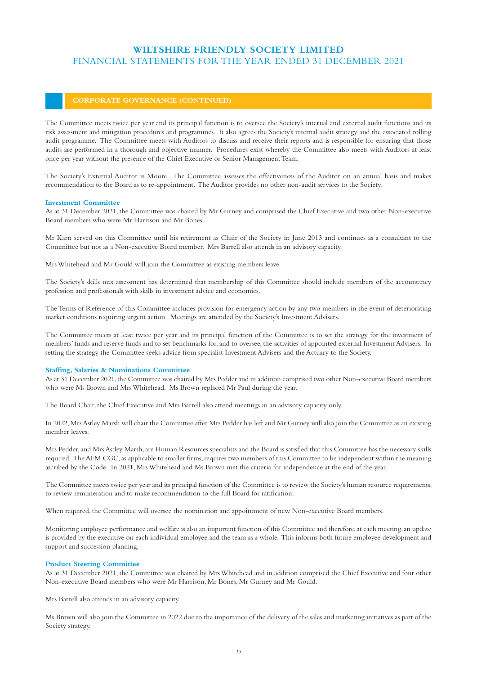The Committee meets twice per year and its principal function is to oversee the Society's internal and external audit functions and its risk assessment and mitigation procedures and programmes. It also agrees the Society's internal audit strategy and the associated rolling audit programme. The Committee meets with Auditors to discuss and receive their reports and is responsible for ensuring that those audits are performed in a thorough and objective manner. Procedures exist whereby the Committee also meets with Auditors at least once per year without the presence of the Chief Executive or Senior Management Team.

The Society's External Auditor is Moore. The Committee assesses the effectiveness of the Auditor on an annual basis and makes recommendation to the Board as to re-appointment. The Auditor provides no other non-audit services to the Society.

### **Investment Committee**

As at 31 December 2021, the Committee was chaired by Mr Gurney and comprised the Chief Executive and two other Non-executive Board members who were Mr Harrison and Mr Bones.

Mr Karn served on this Committee until his retirement as Chair of the Society in June 2013 and continues as a consultant to the Committee but not as a Non-executive Board member. Mrs Barrell also attends in an advisory capacity.

Mrs Whitehead and Mr Gould will join the Committee as existing members leave.

The Society's skills mix assessment has determined that membership of this Committee should include members of the accountancy profession and professionals with skills in investment advice and economics.

The Terms of Reference of this Committee includes provision for emergency action by any two members in the event of deteriorating market conditions requiring urgent action. Meetings are attended by the Society's Investment Advisers.

The Committee meets at least twice per year and its principal function of the Committee is to set the strategy for the investment of members' funds and reserve funds and to set benchmarks for, and to oversee, the activities of appointed external Investment Advisers. In setting the strategy the Committee seeks advice from specialist Investment Advisers and the Actuary to the Society.

## **Staffing, Salaries & Nominations Committee**

As at 31 December 2021, the Committee was chaired by Mrs Pedder and in addition comprised two other Non-executive Board members who were Ms Brown and Mrs Whitehead. Ms Brown replaced Mr Paul during the year.

The Board Chair, the Chief Executive and Mrs Barrell also attend meetings in an advisory capacity only.

In 2022, Mrs Astley Marsh will chair the Committee after Mrs Pedder has left and Mr Gurney will also join the Committee as an existing member leaves.

Mrs Pedder, and Mrs Astley Marsh, are Human Resources specialists and the Board is satisfied that this Committee has the necessary skills required. The AFM CGC, as applicable to smaller firms, requires two members of this Committee to be independent within the meaning ascribed by the Code. In 2021, Mrs Whitehead and Ms Brown met the criteria for independence at the end of the year.

The Committee meets twice per year and its principal function of the Committee is to review the Society's human resource requirements, to review remuneration and to make recommendation to the full Board for ratification.

When required, the Committee will oversee the nomination and appointment of new Non-executive Board members.

Monitoring employee performance and welfare is also an important function of this Committee and therefore, at each meeting, an update is provided by the executive on each individual employee and the team as a whole. This informs both future employee development and support and succession planning.

### **Product Steering Committee**

As at 31 December 2021, the Committee was chaired by Mrs Whitehead and in addition comprised the Chief Executive and four other Non-executive Board members who were Mr Harrison, Mr Bones, Mr Gurney and Mr Gould.

Mrs Barrell also attends in an advisory capacity.

Ms Brown will also join the Committee in 2022 due to the importance of the delivery of the sales and marketing initiatives as part of the Society strategy.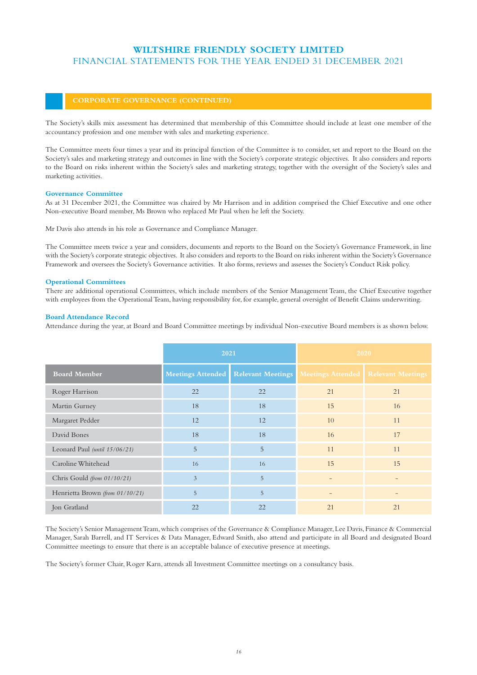The Society's skills mix assessment has determined that membership of this Committee should include at least one member of the accountancy profession and one member with sales and marketing experience.

The Committee meets four times a year and its principal function of the Committee is to consider, set and report to the Board on the Society's sales and marketing strategy and outcomes in line with the Society's corporate strategic objectives. It also considers and reports to the Board on risks inherent within the Society's sales and marketing strategy, together with the oversight of the Society's sales and marketing activities.

## **Governance Committee**

As at 31 December 2021, the Committee was chaired by Mr Harrison and in addition comprised the Chief Executive and one other Non-executive Board member, Ms Brown who replaced Mr Paul when he left the Society.

Mr Davis also attends in his role as Governance and Compliance Manager.

The Committee meets twice a year and considers, documents and reports to the Board on the Society's Governance Framework, in line with the Society's corporate strategic objectives. It also considers and reports to the Board on risks inherent within the Society's Governance Framework and oversees the Society's Governance activities. It also forms, reviews and assesses the Society's Conduct Risk policy.

## **Operational Committees**

There are additional operational Committees, which include members of the Senior Management Team, the Chief Executive together with employees from the Operational Team, having responsibility for, for example, general oversight of Benefit Claims underwriting.

## **Board Attendance Record**

Attendance during the year, at Board and Board Committee meetings by individual Non-executive Board members is as shown below.

|                                 | 2021 |                                       | 2020                                  |    |
|---------------------------------|------|---------------------------------------|---------------------------------------|----|
| <b>Board Member</b>             |      | Meetings Attended   Relevant Meetings | Meetings Attended   Relevant Meetings |    |
| Roger Harrison                  | 22   | 22                                    | 21                                    | 21 |
| Martin Gurney                   | 18   | 18                                    | 15                                    | 16 |
| Margaret Pedder                 | 12   | 12                                    | 10                                    | 11 |
| David Bones                     | 18   | 18                                    | 16                                    | 17 |
| Leonard Paul (until 15/06/21)   | 5    | 5                                     | 11                                    | 11 |
| Caroline Whitehead              | 16   | 16                                    | 15                                    | 15 |
| Chris Gould (from 01/10/21)     | 3    | 5                                     | $\overline{\phantom{0}}$              |    |
| Henrietta Brown (from 01/10/21) | 5    | 5                                     | $\overline{\phantom{0}}$              |    |
| Jon Gratland                    | 22   | 22                                    | 21                                    | 21 |

The Society's Senior Management Team, which comprises of the Governance & Compliance Manager, Lee Davis, Finance & Commercial Manager, Sarah Barrell, and IT Services & Data Manager, Edward Smith, also attend and participate in all Board and designated Board Committee meetings to ensure that there is an acceptable balance of executive presence at meetings.

The Society's former Chair, Roger Karn, attends all Investment Committee meetings on a consultancy basis.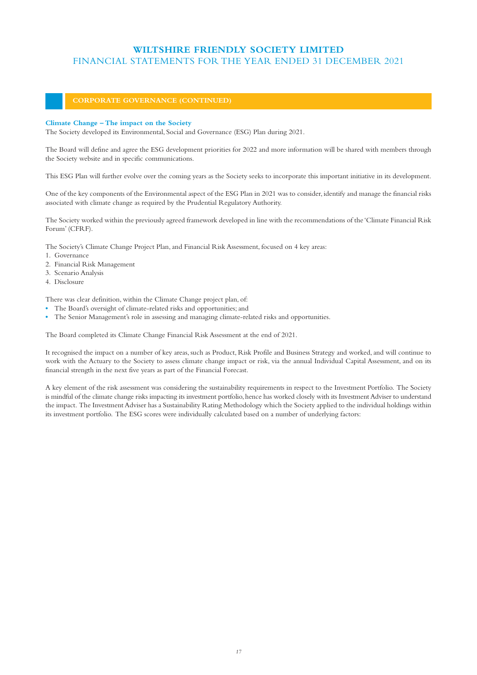## **Climate Change – The impact on the Society**

The Society developed its Environmental, Social and Governance (ESG) Plan during 2021.

The Board will define and agree the ESG development priorities for 2022 and more information will be shared with members through the Society website and in specific communications.

This ESG Plan will further evolve over the coming years as the Society seeks to incorporate this important initiative in its development.

One of the key components of the Environmental aspect of the ESG Plan in 2021 was to consider, identify and manage the financial risks associated with climate change as required by the Prudential Regulatory Authority.

The Society worked within the previously agreed framework developed in line with the recommendations of the 'Climate Financial Risk Forum' (CFRF).

The Society's Climate Change Project Plan, and Financial Risk Assessment, focused on 4 key areas:

- 1. Governance
- 2. Financial Risk Management
- 3. Scenario Analysis
- 4. Disclosure

There was clear definition, within the Climate Change project plan, of:

- **•** The Board's oversight of climate-related risks and opportunities; and
- **•** The Senior Management's role in assessing and managing climate-related risks and opportunities.

The Board completed its Climate Change Financial Risk Assessment at the end of 2021.

It recognised the impact on a number of key areas, such as Product, Risk Profile and Business Strategy and worked, and will continue to work with the Actuary to the Society to assess climate change impact or risk, via the annual Individual Capital Assessment, and on its financial strength in the next five years as part of the Financial Forecast.

A key element of the risk assessment was considering the sustainability requirements in respect to the Investment Portfolio. The Society is mindful of the climate change risks impacting its investment portfolio, hence has worked closely with its Investment Adviser to understand the impact. The Investment Adviser has a Sustainability Rating Methodology which the Society applied to the individual holdings within its investment portfolio. The ESG scores were individually calculated based on a number of underlying factors: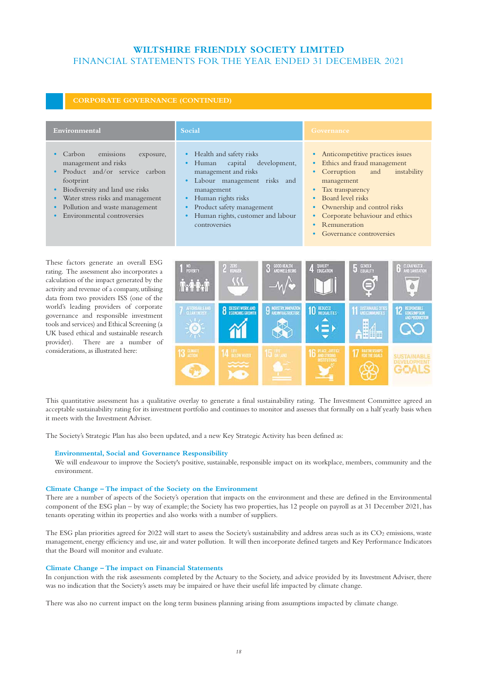| Environmental                                                                                                                                                                                                                                                | Social                                                                                                                                                                                                                                    | Governance                                                                                                                                                                                                                                                                                                             |
|--------------------------------------------------------------------------------------------------------------------------------------------------------------------------------------------------------------------------------------------------------------|-------------------------------------------------------------------------------------------------------------------------------------------------------------------------------------------------------------------------------------------|------------------------------------------------------------------------------------------------------------------------------------------------------------------------------------------------------------------------------------------------------------------------------------------------------------------------|
| emissions<br>Carbon<br>exposure,<br>management and risks<br>Product and/or service carbon<br>footprint<br>Biodiversity and land use risks<br>Water stress risks and management<br>$\bullet$<br>Pollution and waste management<br>Environmental controversies | Health and safety risks<br>capital<br>development,<br>Human<br>management and risks<br>Labour management risks and<br>management<br>Human rights risks<br>Product safety management<br>Human rights, customer and labour<br>controversies | Anticompetitive practices issues<br>$\bullet$<br>• Ethics and fraud management<br>• Corruption<br>instability<br>and<br>management<br>Tax transparency<br>Board level risks<br>$\bullet$<br>• Ownership and control risks<br>• Corporate behaviour and ethics<br>Remuneration<br>$\bullet$<br>Governance controversies |

These factors generate an overall ESG rating. The assessment also incorporates a calculation of the impact generated by the activity and revenue of a company, utilising data from two providers ISS (one of the world's leading providers of corporate governance and responsible investment tools and services) and Ethical Screening (a UK based ethical and sustainable research provider). There are a number of considerations, as illustrated here:



This quantitative assessment has a qualitative overlay to generate a final sustainability rating. The Investment Committee agreed an acceptable sustainability rating for its investment portfolio and continues to monitor and assesses that formally on a half yearly basis when it meets with the Investment Adviser.

The Society's Strategic Plan has also been updated, and a new Key Strategic Activity has been defined as:

## **Environmental, Social and Governance Responsibility**

We will endeavour to improve the Society's positive, sustainable, responsible impact on its workplace, members, community and the environment.

### **Climate Change – The impact of the Society on the Environment**

There are a number of aspects of the Society's operation that impacts on the environment and these are defined in the Environmental component of the ESG plan – by way of example; the Society has two properties, has 12 people on payroll as at 31 December 2021, has tenants operating within its properties and also works with a number of suppliers.

The ESG plan priorities agreed for 2022 will start to assess the Society's sustainability and address areas such as its  $CO<sub>2</sub>$  emissions, waste management, energy efficiency and use, air and water pollution. It will then incorporate defined targets and Key Performance Indicators that the Board will monitor and evaluate.

#### **Climate Change – The impact on Financial Statements**

In conjunction with the risk assessments completed by the Actuary to the Society, and advice provided by its Investment Adviser, there was no indication that the Society's assets may be impaired or have their useful life impacted by climate change.

There was also no current impact on the long term business planning arising from assumptions impacted by climate change.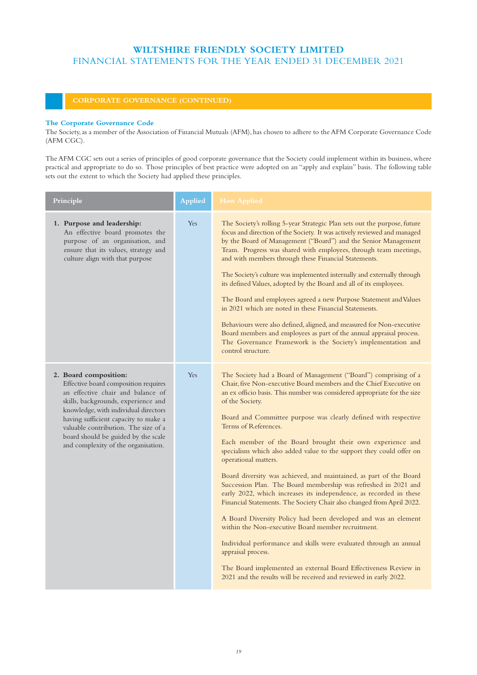### **The Corporate Governance Code**

The Society, as a member of the Association of Financial Mutuals (AFM), has chosen to adhere to the AFM Corporate Governance Code (AFM CGC).

The AFM CGC sets out a series of principles of good corporate governance that the Society could implement within its business, where practical and appropriate to do so. Those principles of best practice were adopted on an "apply and explain" basis. The following table sets out the extent to which the Society had applied these principles.

| Principle                                                                                                                                                                                                                                                                                                                                       | Applied | <b>How Applied</b>                                                                                                                                                                                                                                                                                                                                                                                                                                                                                                                                                                                                                                                                                                                                                                                                                                                                                                                                                                                                                                                                                                                               |
|-------------------------------------------------------------------------------------------------------------------------------------------------------------------------------------------------------------------------------------------------------------------------------------------------------------------------------------------------|---------|--------------------------------------------------------------------------------------------------------------------------------------------------------------------------------------------------------------------------------------------------------------------------------------------------------------------------------------------------------------------------------------------------------------------------------------------------------------------------------------------------------------------------------------------------------------------------------------------------------------------------------------------------------------------------------------------------------------------------------------------------------------------------------------------------------------------------------------------------------------------------------------------------------------------------------------------------------------------------------------------------------------------------------------------------------------------------------------------------------------------------------------------------|
| 1. Purpose and leadership:<br>An effective board promotes the<br>purpose of an organisation, and<br>ensure that its values, strategy and<br>culture align with that purpose                                                                                                                                                                     | Yes     | The Society's rolling 5-year Strategic Plan sets out the purpose, future<br>focus and direction of the Society. It was actively reviewed and managed<br>by the Board of Management ("Board") and the Senior Management<br>Team. Progress was shared with employees, through team meetings,<br>and with members through these Financial Statements.<br>The Society's culture was implemented internally and externally through<br>its defined Values, adopted by the Board and all of its employees.<br>The Board and employees agreed a new Purpose Statement and Values<br>in 2021 which are noted in these Financial Statements.<br>Behaviours were also defined, aligned, and measured for Non-executive<br>Board members and employees as part of the annual appraisal process.<br>The Governance Framework is the Society's implementation and<br>control structure.                                                                                                                                                                                                                                                                        |
| 2. Board composition:<br>Effective board composition requires<br>an effective chair and balance of<br>skills, backgrounds, experience and<br>knowledge, with individual directors<br>having sufficient capacity to make a<br>valuable contribution. The size of a<br>board should be guided by the scale<br>and complexity of the organisation. | Yes     | The Society had a Board of Management ("Board") comprising of a<br>Chair, five Non-executive Board members and the Chief Executive on<br>an ex officio basis. This number was considered appropriate for the size<br>of the Society.<br>Board and Committee purpose was clearly defined with respective<br>Terms of References.<br>Each member of the Board brought their own experience and<br>specialism which also added value to the support they could offer on<br>operational matters.<br>Board diversity was achieved, and maintained, as part of the Board<br>Succession Plan. The Board membership was refreshed in 2021 and<br>early 2022, which increases its independence, as recorded in these<br>Financial Statements. The Society Chair also changed from April 2022.<br>A Board Diversity Policy had been developed and was an element<br>within the Non-executive Board member recruitment.<br>Individual performance and skills were evaluated through an annual<br>appraisal process.<br>The Board implemented an external Board Effectiveness Review in<br>2021 and the results will be received and reviewed in early 2022. |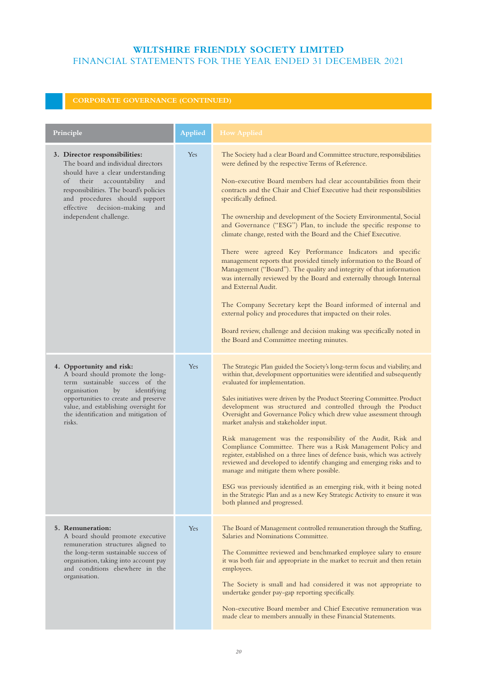| Principle                                                                                                                                                                                                                                                                                 | <b>Applied</b> | <b>How Applied</b>                                                                                                                                                                                                                                                                                                                                                                                                                                                                                                                                                                                                                                                                                                                                                                                                                                                                                                                                                                                                                                                                |
|-------------------------------------------------------------------------------------------------------------------------------------------------------------------------------------------------------------------------------------------------------------------------------------------|----------------|-----------------------------------------------------------------------------------------------------------------------------------------------------------------------------------------------------------------------------------------------------------------------------------------------------------------------------------------------------------------------------------------------------------------------------------------------------------------------------------------------------------------------------------------------------------------------------------------------------------------------------------------------------------------------------------------------------------------------------------------------------------------------------------------------------------------------------------------------------------------------------------------------------------------------------------------------------------------------------------------------------------------------------------------------------------------------------------|
| 3. Director responsibilities:<br>The board and individual directors<br>should have a clear understanding<br>their accountability<br>of<br>and<br>responsibilities. The board's policies<br>and procedures should support<br>decision-making<br>effective<br>and<br>independent challenge. | Yes            | The Society had a clear Board and Committee structure, responsibilities<br>were defined by the respective Terms of Reference.<br>Non-executive Board members had clear accountabilities from their<br>contracts and the Chair and Chief Executive had their responsibilities<br>specifically defined.<br>The ownership and development of the Society Environmental, Social<br>and Governance ("ESG") Plan, to include the specific response to<br>climate change, rested with the Board and the Chief Executive.<br>There were agreed Key Performance Indicators and specific<br>management reports that provided timely information to the Board of<br>Management ("Board"). The quality and integrity of that information<br>was internally reviewed by the Board and externally through Internal<br>and External Audit.<br>The Company Secretary kept the Board informed of internal and<br>external policy and procedures that impacted on their roles.<br>Board review, challenge and decision making was specifically noted in<br>the Board and Committee meeting minutes. |
| 4. Opportunity and risk:<br>A board should promote the long-<br>term sustainable success of the<br>organisation<br>by<br>identifying<br>opportunities to create and preserve<br>value, and establishing oversight for<br>the identification and mitigation of<br>risks.                   | Yes            | The Strategic Plan guided the Society's long-term focus and viability, and<br>within that, development opportunities were identified and subsequently<br>evaluated for implementation.<br>Sales initiatives were driven by the Product Steering Committee. Product<br>development was structured and controlled through the Product<br>Oversight and Governance Policy which drew value assessment through<br>market analysis and stakeholder input.<br>Risk management was the responsibility of the Audit, Risk and<br>Compliance Committee. There was a Risk Management Policy and<br>register, established on a three lines of defence basis, which was actively<br>reviewed and developed to identify changing and emerging risks and to<br>manage and mitigate them where possible.<br>ESG was previously identified as an emerging risk, with it being noted<br>in the Strategic Plan and as a new Key Strategic Activity to ensure it was<br>both planned and progressed.                                                                                                 |
| 5. Remuneration:<br>A board should promote executive<br>remuneration structures aligned to<br>the long-term sustainable success of<br>organisation, taking into account pay<br>and conditions elsewhere in the<br>organisation.                                                           | Yes            | The Board of Management controlled remuneration through the Staffing,<br>Salaries and Nominations Committee.<br>The Committee reviewed and benchmarked employee salary to ensure<br>it was both fair and appropriate in the market to recruit and then retain<br>employees.<br>The Society is small and had considered it was not appropriate to<br>undertake gender pay-gap reporting specifically.<br>Non-executive Board member and Chief Executive remuneration was<br>made clear to members annually in these Financial Statements.                                                                                                                                                                                                                                                                                                                                                                                                                                                                                                                                          |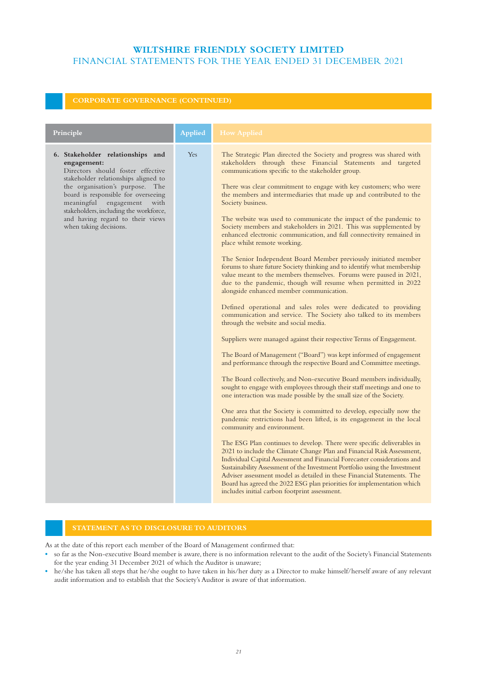| Principle                                                                                                                                                                                                                                                                                                                                          | <b>Applied</b> | <b>How Applied</b>                                                                                                                                                                                                                                                                                                                                                                                                                                                                                                                                                                                                                                                                                                                                                                                                                                                                                                                                                                                                                                                                                                                                                                                                                                                                                                                                                                                                                                                                                                                                                                                                                                                                                                                                                                                                                                                                                                                                                                                                                                                                                                                                                                                                                                                                   |
|----------------------------------------------------------------------------------------------------------------------------------------------------------------------------------------------------------------------------------------------------------------------------------------------------------------------------------------------------|----------------|--------------------------------------------------------------------------------------------------------------------------------------------------------------------------------------------------------------------------------------------------------------------------------------------------------------------------------------------------------------------------------------------------------------------------------------------------------------------------------------------------------------------------------------------------------------------------------------------------------------------------------------------------------------------------------------------------------------------------------------------------------------------------------------------------------------------------------------------------------------------------------------------------------------------------------------------------------------------------------------------------------------------------------------------------------------------------------------------------------------------------------------------------------------------------------------------------------------------------------------------------------------------------------------------------------------------------------------------------------------------------------------------------------------------------------------------------------------------------------------------------------------------------------------------------------------------------------------------------------------------------------------------------------------------------------------------------------------------------------------------------------------------------------------------------------------------------------------------------------------------------------------------------------------------------------------------------------------------------------------------------------------------------------------------------------------------------------------------------------------------------------------------------------------------------------------------------------------------------------------------------------------------------------------|
| 6. Stakeholder relationships and<br>engagement:<br>Directors should foster effective<br>stakeholder relationships aligned to<br>the organisation's purpose. The<br>board is responsible for overseeing<br>meaningful<br>engagement<br>with<br>stakeholders, including the workforce,<br>and having regard to their views<br>when taking decisions. | Yes            | The Strategic Plan directed the Society and progress was shared with<br>stakeholders through these Financial Statements and targeted<br>communications specific to the stakeholder group.<br>There was clear commitment to engage with key customers; who were<br>the members and intermediaries that made up and contributed to the<br>Society business.<br>The website was used to communicate the impact of the pandemic to<br>Society members and stakeholders in 2021. This was supplemented by<br>enhanced electronic communication, and full connectivity remained in<br>place whilst remote working.<br>The Senior Independent Board Member previously initiated member<br>forums to share future Society thinking and to identify what membership<br>value meant to the members themselves. Forums were paused in 2021,<br>due to the pandemic, though will resume when permitted in 2022<br>alongside enhanced member communication.<br>Defined operational and sales roles were dedicated to providing<br>communication and service. The Society also talked to its members<br>through the website and social media.<br>Suppliers were managed against their respective Terms of Engagement.<br>The Board of Management ("Board") was kept informed of engagement<br>and performance through the respective Board and Committee meetings.<br>The Board collectively, and Non-executive Board members individually,<br>sought to engage with employees through their staff meetings and one to<br>one interaction was made possible by the small size of the Society.<br>One area that the Society is committed to develop, especially now the<br>pandemic restrictions had been lifted, is its engagement in the local<br>community and environment.<br>The ESG Plan continues to develop. There were specific deliverables in<br>2021 to include the Climate Change Plan and Financial Risk Assessment,<br>Individual Capital Assessment and Financial Forecaster considerations and<br>Sustainability Assessment of the Investment Portfolio using the Investment<br>Adviser assessment model as detailed in these Financial Statements. The<br>Board has agreed the 2022 ESG plan priorities for implementation which<br>includes initial carbon footprint assessment. |

As at the date of this report each member of the Board of Management confirmed that:

- **•** so far as the Non-executive Board member is aware, there is no information relevant to the audit of the Society's Financial Statements for the year ending 31 December 2021 of which the Auditor is unaware;
- **•** he/she has taken all steps that he/she ought to have taken in his/her duty as a Director to make himself/herself aware of any relevant audit information and to establish that the Society's Auditor is aware of that information.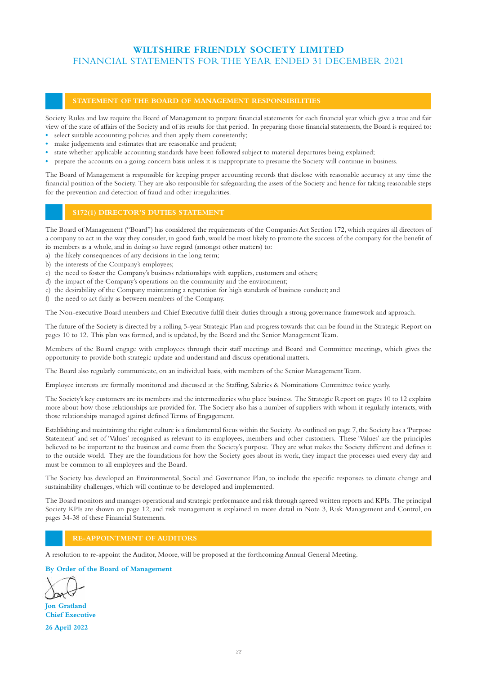## **STATEMENT OF THE BOARD OF MANAGEMENT RESPONSIBILITIES**

Society Rules and law require the Board of Management to prepare financial statements for each financial year which give a true and fair view of the state of affairs of the Society and of its results for that period. In preparing those financial statements, the Board is required to:

- **•** select suitable accounting policies and then apply them consistently;
- **•** make judgements and estimates that are reasonable and prudent;
- **•** state whether applicable accounting standards have been followed subject to material departures being explained;
- **•** prepare the accounts on a going concern basis unless it is inappropriate to presume the Society will continue in business.

The Board of Management is responsible for keeping proper accounting records that disclose with reasonable accuracy at any time the financial position of the Society. They are also responsible for safeguarding the assets of the Society and hence for taking reasonable steps for the prevention and detection of fraud and other irregularities.

The Board of Management ("Board") has considered the requirements of the Companies Act Section 172, which requires all directors of a company to act in the way they consider, in good faith, would be most likely to promote the success of the company for the benefit of its members as a whole, and in doing so have regard (amongst other matters) to:

- a) the likely consequences of any decisions in the long term;
- b) the interests of the Company's employees;
- c) the need to foster the Company's business relationships with suppliers, customers and others;
- d) the impact of the Company's operations on the community and the environment;
- e) the desirability of the Company maintaining a reputation for high standards of business conduct; and
- f) the need to act fairly as between members of the Company.

The Non-executive Board members and Chief Executive fulfil their duties through a strong governance framework and approach.

The future of the Society is directed by a rolling 5-year Strategic Plan and progress towards that can be found in the Strategic Report on pages 10 to 12. This plan was formed, and is updated, by the Board and the Senior Management Team.

Members of the Board engage with employees through their staff meetings and Board and Committee meetings, which gives the opportunity to provide both strategic update and understand and discuss operational matters.

The Board also regularly communicate, on an individual basis, with members of the Senior Management Team.

Employee interests are formally monitored and discussed at the Staffing, Salaries & Nominations Committee twice yearly.

The Society's key customers are its members and the intermediaries who place business. The Strategic Report on pages 10 to 12 explains more about how those relationships are provided for. The Society also has a number of suppliers with whom it regularly interacts, with those relationships managed against defined Terms of Engagement.

Establishing and maintaining the right culture is a fundamental focus within the Society. As outlined on page 7, the Society has a 'Purpose Statement' and set of 'Values' recognised as relevant to its employees, members and other customers. These 'Values' are the principles believed to be important to the business and come from the Society's purpose. They are what makes the Society different and defines it to the outside world. They are the foundations for how the Society goes about its work, they impact the processes used every day and must be common to all employees and the Board.

The Society has developed an Environmental, Social and Governance Plan, to include the specific responses to climate change and sustainability challenges, which will continue to be developed and implemented.

The Board monitors and manages operational and strategic performance and risk through agreed written reports and KPIs. The principal Society KPIs are shown on page 12, and risk management is explained in more detail in Note 3, Risk Management and Control, on pages 34-38 of these Financial Statements.

## **RE-APPOINTMENT OF AUDITORS**

A resolution to re-appoint the Auditor, Moore, will be proposed at the forthcoming Annual General Meeting.

## **By Order of the Board of Management**

**Jon Gratland Chief Executive 26 April 2022**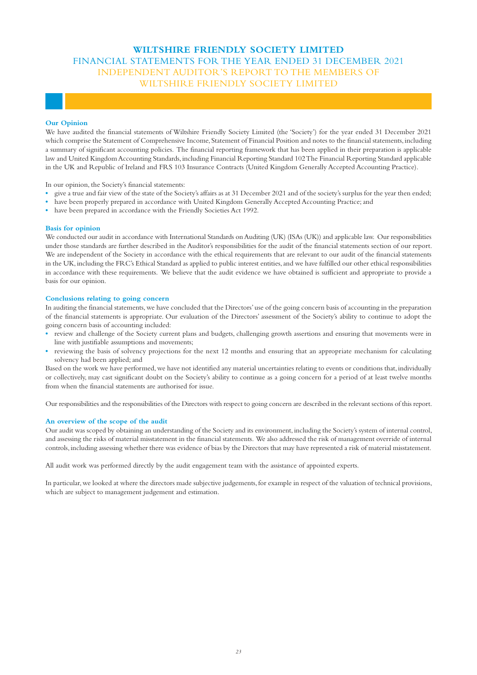## **WILTSHIRE FRIENDLY SOCIETY LIMITED**  FINANCIAL STATEMENTS FOR THE YEAR ENDED 31 DECEMBER 2021 INDEPENDENT AUDITOR'S REPORT TO THE MEMBERS OF WILTSHIRE FRIENDLY SOCIETY LIMITED

## **Our Opinion**

We have audited the financial statements of Wiltshire Friendly Society Limited (the 'Society') for the year ended 31 December 2021 which comprise the Statement of Comprehensive Income, Statement of Financial Position and notes to the financial statements, including a summary of significant accounting policies. The financial reporting framework that has been applied in their preparation is applicable law and United Kingdom Accounting Standards, including Financial Reporting Standard 102 The Financial Reporting Standard applicable in the UK and Republic of Ireland and FRS 103 Insurance Contracts (United Kingdom Generally Accepted Accounting Practice).

In our opinion, the Society's financial statements:

- **•** give a true and fair view of the state of the Society's affairs as at 31 December 2021 and of the society's surplus for the year then ended;
- **•** have been properly prepared in accordance with United Kingdom Generally Accepted Accounting Practice; and
- have been prepared in accordance with the Friendly Societies Act 1992.

#### **Basis for opinion**

We conducted our audit in accordance with International Standards on Auditing (UK) (ISAs (UK)) and applicable law. Our responsibilities under those standards are further described in the Auditor's responsibilities for the audit of the financial statements section of our report. We are independent of the Society in accordance with the ethical requirements that are relevant to our audit of the financial statements in the UK, including the FRC's Ethical Standard as applied to public interest entities, and we have fulfilled our other ethical responsibilities in accordance with these requirements. We believe that the audit evidence we have obtained is sufficient and appropriate to provide a basis for our opinion.

### **Conclusions relating to going concern**

In auditing the financial statements, we have concluded that the Directors' use of the going concern basis of accounting in the preparation of the financial statements is appropriate. Our evaluation of the Directors' assessment of the Society's ability to continue to adopt the going concern basis of accounting included:

- **•** review and challenge of the Society current plans and budgets, challenging growth assertions and ensuring that movements were in line with justifiable assumptions and movements;
- **•** reviewing the basis of solvency projections for the next 12 months and ensuring that an appropriate mechanism for calculating solvency had been applied; and

Based on the work we have performed, we have not identified any material uncertainties relating to events or conditions that, individually or collectively, may cast significant doubt on the Society's ability to continue as a going concern for a period of at least twelve months from when the financial statements are authorised for issue.

Our responsibilities and the responsibilities of the Directors with respect to going concern are described in the relevant sections of this report.

#### **An overview of the scope of the audit**

Our audit was scoped by obtaining an understanding of the Society and its environment, including the Society's system of internal control, and assessing the risks of material misstatement in the financial statements. We also addressed the risk of management override of internal controls, including assessing whether there was evidence of bias by the Directors that may have represented a risk of material misstatement.

All audit work was performed directly by the audit engagement team with the assistance of appointed experts.

In particular, we looked at where the directors made subjective judgements, for example in respect of the valuation of technical provisions, which are subject to management judgement and estimation.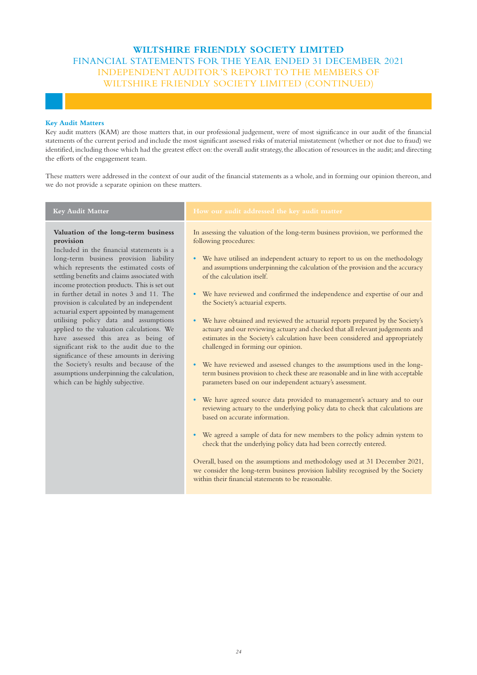## **WILTSHIRE FRIENDLY SOCIETY LIMITED**  FINANCIAL STATEMENTS FOR THE YEAR ENDED 31 DECEMBER 2021 INDEPENDENT AUDITOR'S REPORT TO THE MEMBERS OF WILTSHIRE FRIENDLY SOCIETY LIMITED (CONTINUED)

## **Key Audit Matters**

Key audit matters (KAM) are those matters that, in our professional judgement, were of most significance in our audit of the financial statements of the current period and include the most significant assessed risks of material misstatement (whether or not due to fraud) we identified, including those which had the greatest effect on: the overall audit strategy, the allocation of resources in the audit; and directing the efforts of the engagement team.

These matters were addressed in the context of our audit of the financial statements as a whole, and in forming our opinion thereon, and we do not provide a separate opinion on these matters.

## **Valuation of the long-term business provision**

Included in the financial statements is a long-term business provision liability which represents the estimated costs of settling benefits and claims associated with income protection products. This is set out in further detail in notes 3 and 11. The provision is calculated by an independent actuarial expert appointed by management utilising policy data and assumptions applied to the valuation calculations. We have assessed this area as being of significant risk to the audit due to the significance of these amounts in deriving the Society's results and because of the assumptions underpinning the calculation, which can be highly subjective.

## **Key Audit Matter How our audit addressed the key audit matter**

In assessing the valuation of the long-term business provision, we performed the following procedures:

- **•** We have utilised an independent actuary to report to us on the methodology and assumptions underpinning the calculation of the provision and the accuracy of the calculation itself.
- **•** We have reviewed and confirmed the independence and expertise of our and the Society's actuarial experts.
- **•** We have obtained and reviewed the actuarial reports prepared by the Society's actuary and our reviewing actuary and checked that all relevant judgements and estimates in the Society's calculation have been considered and appropriately challenged in forming our opinion.
- **•** We have reviewed and assessed changes to the assumptions used in the longterm business provision to check these are reasonable and in line with acceptable parameters based on our independent actuary's assessment.
- **•** We have agreed source data provided to management's actuary and to our reviewing actuary to the underlying policy data to check that calculations are based on accurate information.
- **•** We agreed a sample of data for new members to the policy admin system to check that the underlying policy data had been correctly entered.

Overall, based on the assumptions and methodology used at 31 December 2021, we consider the long-term business provision liability recognised by the Society within their financial statements to be reasonable.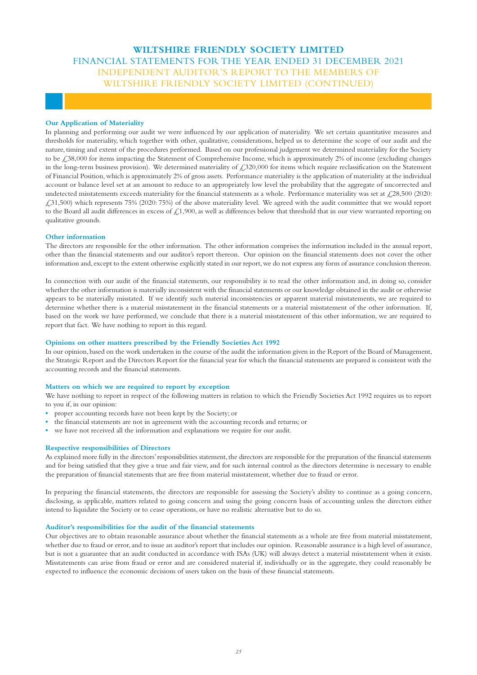## **WILTSHIRE FRIENDLY SOCIETY LIMITED**  FINANCIAL STATEMENTS FOR THE YEAR ENDED 31 DECEMBER 2021 INDEPENDENT AUDITOR'S REPORT TO THE MEMBERS OF WILTSHIRE FRIENDLY SOCIETY LIMITED (CONTINUED)

## **Our Application of Materiality**

In planning and performing our audit we were influenced by our application of materiality. We set certain quantitative measures and thresholds for materiality, which together with other, qualitative, considerations, helped us to determine the scope of our audit and the nature, timing and extent of the procedures performed. Based on our professional judgement we determined materiality for the Society to be £38,000 for items impacting the Statement of Comprehensive Income, which is approximately 2% of income (excluding changes in the long-term business provision). We determined materiality of £320,000 for items which require reclassification on the Statement of Financial Position, which is approximately 2% of gross assets. Performance materiality is the application of materiality at the individual account or balance level set at an amount to reduce to an appropriately low level the probability that the aggregate of uncorrected and undetected misstatements exceeds materiality for the financial statements as a whole. Performance materiality was set at  $\zeta$ 28,500 (2020: £31,500) which represents 75% (2020: 75%) of the above materiality level. We agreed with the audit committee that we would report to the Board all audit differences in excess of  $\mathcal{L}1,900$ , as well as differences below that threshold that in our view warranted reporting on qualitative grounds.

### **Other information**

The directors are responsible for the other information. The other information comprises the information included in the annual report, other than the financial statements and our auditor's report thereon. Our opinion on the financial statements does not cover the other information and, except to the extent otherwise explicitly stated in our report, we do not express any form of assurance conclusion thereon.

In connection with our audit of the financial statements, our responsibility is to read the other information and, in doing so, consider whether the other information is materially inconsistent with the financial statements or our knowledge obtained in the audit or otherwise appears to be materially misstated. If we identify such material inconsistencies or apparent material misstatements, we are required to determine whether there is a material misstatement in the financial statements or a material misstatement of the other information. If, based on the work we have performed, we conclude that there is a material misstatement of this other information, we are required to report that fact. We have nothing to report in this regard.

## **Opinions on other matters prescribed by the Friendly Societies Act 1992**

In our opinion, based on the work undertaken in the course of the audit the information given in the Report of the Board of Management, the Strategic Report and the Directors Report for the financial year for which the financial statements are prepared is consistent with the accounting records and the financial statements.

### **Matters on which we are required to report by exception**

We have nothing to report in respect of the following matters in relation to which the Friendly Societies Act 1992 requires us to report to you if, in our opinion:

- **•** proper accounting records have not been kept by the Society; or
- **•** the financial statements are not in agreement with the accounting records and returns; or
- **•** we have not received all the information and explanations we require for our audit.

### **Respective responsibilities of Directors**

As explained more fully in the directors' responsibilities statement, the directors are responsible for the preparation of the financial statements and for being satisfied that they give a true and fair view, and for such internal control as the directors determine is necessary to enable the preparation of financial statements that are free from material misstatement, whether due to fraud or error.

In preparing the financial statements, the directors are responsible for assessing the Society's ability to continue as a going concern, disclosing, as applicable, matters related to going concern and using the going concern basis of accounting unless the directors either intend to liquidate the Society or to cease operations, or have no realistic alternative but to do so.

#### **Auditor's responsibilities for the audit of the financial statements**

Our objectives are to obtain reasonable assurance about whether the financial statements as a whole are free from material misstatement, whether due to fraud or error, and to issue an auditor's report that includes our opinion. Reasonable assurance is a high level of assurance, but is not a guarantee that an audit conducted in accordance with ISAs (UK) will always detect a material misstatement when it exists. Misstatements can arise from fraud or error and are considered material if, individually or in the aggregate, they could reasonably be expected to influence the economic decisions of users taken on the basis of these financial statements.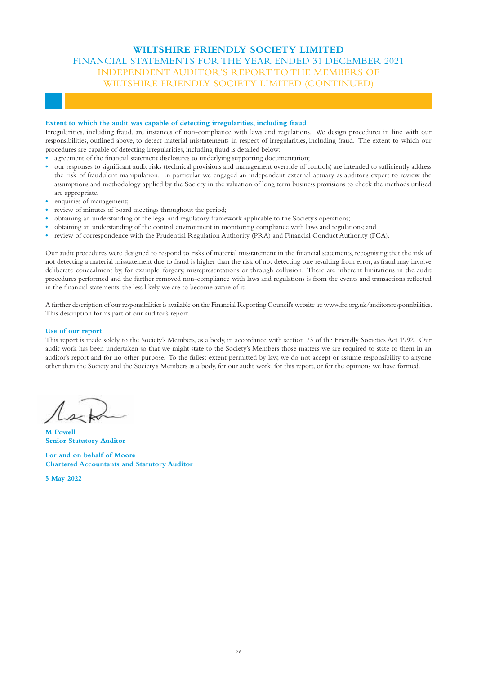## **WILTSHIRE FRIENDLY SOCIETY LIMITED**  FINANCIAL STATEMENTS FOR THE YEAR ENDED 31 DECEMBER 2021 INDEPENDENT AUDITOR'S REPORT TO THE MEMBERS OF WILTSHIRE FRIENDLY SOCIETY LIMITED (CONTINUED)

## **Extent to which the audit was capable of detecting irregularities, including fraud**

Irregularities, including fraud, are instances of non-compliance with laws and regulations. We design procedures in line with our responsibilities, outlined above, to detect material misstatements in respect of irregularities, including fraud. The extent to which our procedures are capable of detecting irregularities, including fraud is detailed below:

- **•** agreement of the financial statement disclosures to underlying supporting documentation;
- **•** our responses to significant audit risks (technical provisions and management override of controls) are intended to sufficiently address the risk of fraudulent manipulation. In particular we engaged an independent external actuary as auditor's expert to review the assumptions and methodology applied by the Society in the valuation of long term business provisions to check the methods utilised are appropriate.
- **•** enquiries of management;
- **•** review of minutes of board meetings throughout the period;
- obtaining an understanding of the legal and regulatory framework applicable to the Society's operations;
- **•** obtaining an understanding of the control environment in monitoring compliance with laws and regulations; and
- review of correspondence with the Prudential Regulation Authority (PRA) and Financial Conduct Authority (FCA).

Our audit procedures were designed to respond to risks of material misstatement in the financial statements, recognising that the risk of not detecting a material misstatement due to fraud is higher than the risk of not detecting one resulting from error, as fraud may involve deliberate concealment by, for example, forgery, misrepresentations or through collusion. There are inherent limitations in the audit procedures performed and the further removed non-compliance with laws and regulations is from the events and transactions reflected in the financial statements, the less likely we are to become aware of it.

A further description of our responsibilities is available on the Financial Reporting Council's website at: www.frc.org.uk/auditorsresponsibilities. This description forms part of our auditor's report.

## **Use of our report**

This report is made solely to the Society's Members, as a body, in accordance with section 73 of the Friendly Societies Act 1992. Our audit work has been undertaken so that we might state to the Society's Members those matters we are required to state to them in an auditor's report and for no other purpose. To the fullest extent permitted by law, we do not accept or assume responsibility to anyone other than the Society and the Society's Members as a body, for our audit work, for this report, or for the opinions we have formed.

**M Powell Senior Statutory Auditor** 

**For and on behalf of Moore Chartered Accountants and Statutory Auditor** 

**5 May 2022**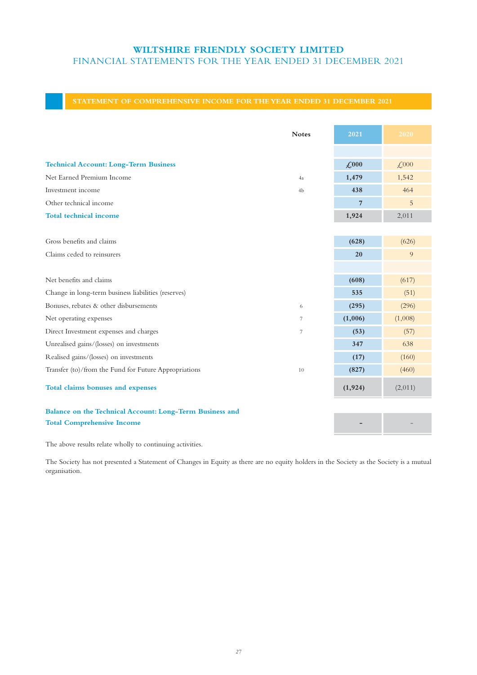## **STATEMENT OF COMPREHENSIVE INCOME FOR THE YEAR ENDED 31 DECEMBER 2021**

|                                                          | <b>Notes</b>   | 2021         | 2020                              |
|----------------------------------------------------------|----------------|--------------|-----------------------------------|
|                                                          |                |              |                                   |
| <b>Technical Account: Long-Term Business</b>             |                | $\angle 000$ | $\textcolor{blue}{\cancel{.000}}$ |
| Net Earned Premium Income                                | 4a             | 1,479        | 1,542                             |
| Investment income                                        | 4b             | 438          | 464                               |
| Other technical income                                   |                | 7            | 5                                 |
| <b>Total technical income</b>                            |                | 1,924        | 2,011                             |
|                                                          |                |              |                                   |
| Gross benefits and claims                                |                | (628)        | (626)                             |
| Claims ceded to reinsurers                               |                | 20           | 9                                 |
|                                                          |                |              |                                   |
| Net benefits and claims                                  |                | (608)        | (617)                             |
| Change in long-term business liabilities (reserves)      |                | 535          | (51)                              |
| Bonuses, rebates & other disbursements                   | 6              | (295)        | (296)                             |
| Net operating expenses                                   | $\overline{7}$ | (1,006)      | (1,008)                           |
| Direct Investment expenses and charges                   | 7              | (53)         | (57)                              |
| Unrealised gains/(losses) on investments                 |                | 347          | 638                               |
| Realised gains/(losses) on investments                   |                | (17)         | (160)                             |
| Transfer (to)/from the Fund for Future Appropriations    | 10             | (827)        | (460)                             |
| Total claims bonuses and expenses                        |                | (1, 924)     | (2,011)                           |
| Balance on the Technical Account: Long-Term Business and |                |              |                                   |
| <b>Total Comprehensive Income</b>                        |                |              |                                   |

The above results relate wholly to continuing activities.

The Society has not presented a Statement of Changes in Equity as there are no equity holders in the Society as the Society is a mutual organisation.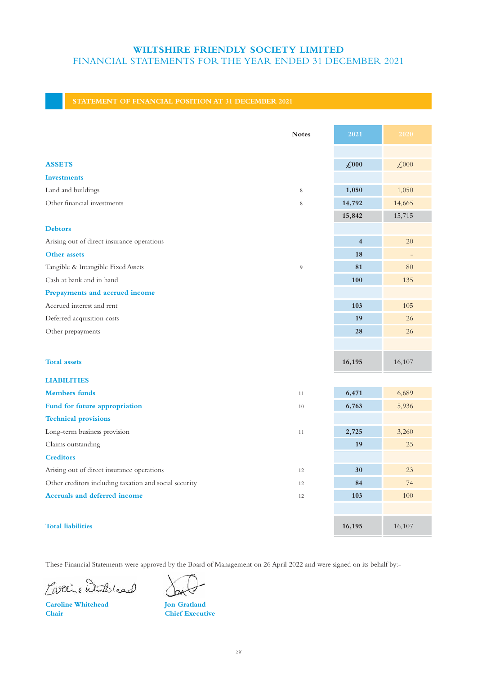|                                                        | <b>Notes</b> | 2021                | 2020                            |
|--------------------------------------------------------|--------------|---------------------|---------------------------------|
|                                                        |              |                     |                                 |
| <b>ASSETS</b>                                          |              | $\mathcal{L}^{000}$ | $\textcolor{blue}{\text{£}}000$ |
| <b>Investments</b>                                     |              |                     |                                 |
| Land and buildings                                     | 8            | 1,050               | 1,050                           |
| Other financial investments                            | 8            | 14,792              | 14,665                          |
|                                                        |              | 15,842              | 15,715                          |
| <b>Debtors</b>                                         |              |                     |                                 |
| Arising out of direct insurance operations             |              | $\overline{4}$      | 20                              |
| Other assets                                           |              | 18                  | $\overline{\phantom{a}}$        |
| Tangible & Intangible Fixed Assets                     | 9            | 81                  | 80                              |
| Cash at bank and in hand                               |              | 100                 | 135                             |
| Prepayments and accrued income                         |              |                     |                                 |
| Accrued interest and rent                              |              | 103                 | 105                             |
| Deferred acquisition costs                             |              | 19                  | 26                              |
| Other prepayments                                      |              | 28                  | 26                              |
|                                                        |              |                     |                                 |
| <b>Total assets</b>                                    |              | 16,195              | 16,107                          |
| <b>LIABILITIES</b>                                     |              |                     |                                 |
| <b>Members</b> funds                                   | 11           | 6,471               | 6,689                           |
| Fund for future appropriation                          | 10           | 6,763               | 5,936                           |
| <b>Technical provisions</b>                            |              |                     |                                 |
| Long-term business provision                           | 11           | 2,725               | 3,260                           |
| Claims outstanding                                     |              | 19                  | 25                              |
| <b>Creditors</b>                                       |              |                     |                                 |
| Arising out of direct insurance operations             | 12           | 30                  | 23                              |
| Other creditors including taxation and social security | 12           | 84                  | 74                              |
| <b>Accruals and deferred income</b>                    | 12           | 103                 | 100                             |
|                                                        |              |                     |                                 |
| <b>Total liabilities</b>                               |              | 16,195              | 16,107                          |

These Financial Statements were approved by the Board of Management on 26 April 2022 and were signed on its behalf by:-

Carrie Withlesd

**Caroline Whitehead**  Jon Gratland **Chair Chief Executive**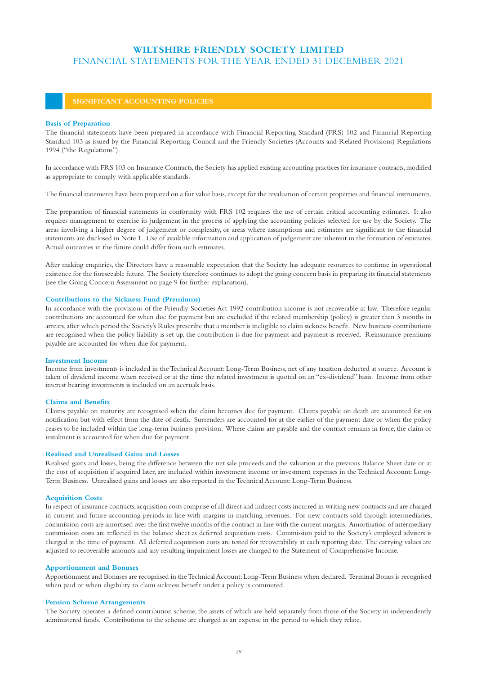#### **Basis of Preparation**

The financial statements have been prepared in accordance with Financial Reporting Standard (FRS) 102 and Financial Reporting Standard 103 as issued by the Financial Reporting Council and the Friendly Societies (Accounts and Related Provisions) Regulations 1994 ("the Regulations").

In accordance with FRS 103 on Insurance Contracts, the Society has applied existing accounting practices for insurance contracts, modified as appropriate to comply with applicable standards.

The financial statements have been prepared on a fair value basis, except for the revaluation of certain properties and financial instruments.

The preparation of financial statements in conformity with FRS 102 requires the use of certain critical accounting estimates. It also requires management to exercise its judgement in the process of applying the accounting policies selected for use by the Society. The areas involving a higher degree of judgement or complexity, or areas where assumptions and estimates are significant to the financial statements are disclosed in Note 1. Use of available information and application of judgement are inherent in the formation of estimates. Actual outcomes in the future could differ from such estimates.

After making enquiries, the Directors have a reasonable expectation that the Society has adequate resources to continue in operational existence for the foreseeable future. The Society therefore continues to adopt the going concern basis in preparing its financial statements (see the Going Concern Assessment on page 9 for further explanation).

#### **Contributions to the Sickness Fund (Premiums)**

In accordance with the provisions of the Friendly Societies Act 1992 contribution income is not recoverable at law. Therefore regular contributions are accounted for when due for payment but are excluded if the related membership (policy) is greater than 3 months in arrears, after which period the Society's Rules prescribe that a member is ineligible to claim sickness benefit. New business contributions are recognised when the policy liability is set up, the contribution is due for payment and payment is received. Reinsurance premiums payable are accounted for when due for payment.

#### **Investment Income**

Income from investments is included in the Technical Account: Long-Term Business, net of any taxation deducted at source. Account is taken of dividend income when received or at the time the related investment is quoted on an "ex-dividend" basis. Income from other interest bearing investments is included on an accruals basis.

#### **Claims and Benefits**

Claims payable on maturity are recognised when the claim becomes due for payment. Claims payable on death are accounted for on notification but with effect from the date of death. Surrenders are accounted for at the earlier of the payment date or when the policy ceases to be included within the long-term business provision. Where claims are payable and the contract remains in force, the claim or instalment is accounted for when due for payment.

## **Realised and Unrealised Gains and Losses**

Realised gains and losses, being the difference between the net sale proceeds and the valuation at the previous Balance Sheet date or at the cost of acquisition if acquired later, are included within investment income or investment expenses in the Technical Account: Long-Term Business. Unrealised gains and losses are also reported in the Technical Account: Long-Term Business.

### **Acquisition Costs**

In respect of insurance contracts, acquisition costs comprise of all direct and indirect costs incurred in writing new contracts and are charged in current and future accounting periods in line with margins in matching revenues. For new contracts sold through intermediaries, commission costs are amortised over the first twelve months of the contract in line with the current margins. Amortisation of intermediary commission costs are reflected in the balance sheet as deferred acquisition costs. Commission paid to the Society's employed advisers is charged at the time of payment. All deferred acquisition costs are tested for recoverability at each reporting date. The carrying values are adjusted to recoverable amounts and any resulting impairment losses are charged to the Statement of Comprehensive Income.

#### **Apportionment and Bonuses**

Apportionment and Bonuses are recognised in the Technical Account: Long-Term Business when declared. Terminal Bonus is recognised when paid or when eligibility to claim sickness benefit under a policy is commuted.

## **Pension Scheme Arrangements**

The Society operates a defined contribution scheme, the assets of which are held separately from those of the Society in independently administered funds. Contributions to the scheme are charged as an expense in the period to which they relate.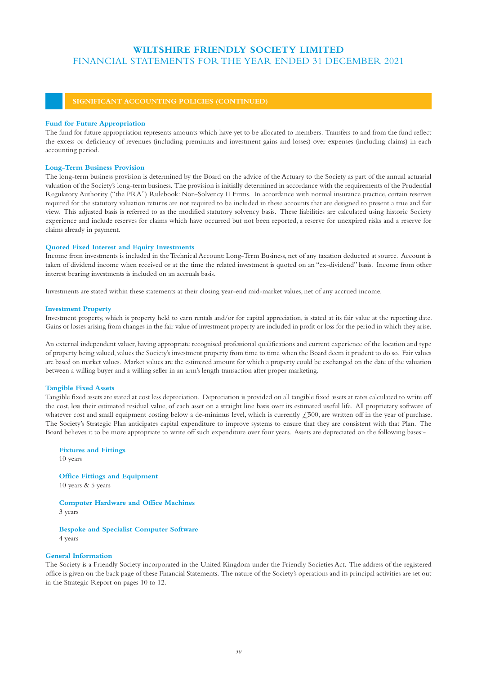#### **Fund for Future Appropriation**

The fund for future appropriation represents amounts which have yet to be allocated to members. Transfers to and from the fund reflect the excess or deficiency of revenues (including premiums and investment gains and losses) over expenses (including claims) in each accounting period.

#### **Long-Term Business Provision**

The long-term business provision is determined by the Board on the advice of the Actuary to the Society as part of the annual actuarial valuation of the Society's long-term business. The provision is initially determined in accordance with the requirements of the Prudential Regulatory Authority ("the PRA") Rulebook: Non-Solvency II Firms. In accordance with normal insurance practice, certain reserves required for the statutory valuation returns are not required to be included in these accounts that are designed to present a true and fair view. This adjusted basis is referred to as the modified statutory solvency basis. These liabilities are calculated using historic Society experience and include reserves for claims which have occurred but not been reported, a reserve for unexpired risks and a reserve for claims already in payment.

### **Quoted Fixed Interest and Equity Investments**

Income from investments is included in the Technical Account: Long-Term Business, net of any taxation deducted at source. Account is taken of dividend income when received or at the time the related investment is quoted on an "ex-dividend" basis. Income from other interest bearing investments is included on an accruals basis.

Investments are stated within these statements at their closing year-end mid-market values, net of any accrued income.

#### **Investment Property**

Investment property, which is property held to earn rentals and/or for capital appreciation, is stated at its fair value at the reporting date. Gains or losses arising from changes in the fair value of investment property are included in profit or loss for the period in which they arise.

An external independent valuer, having appropriate recognised professional qualifications and current experience of the location and type of property being valued, values the Society's investment property from time to time when the Board deem it prudent to do so. Fair values are based on market values. Market values are the estimated amount for which a property could be exchanged on the date of the valuation between a willing buyer and a willing seller in an arm's length transaction after proper marketing.

#### **Tangible Fixed Assets**

Tangible fixed assets are stated at cost less depreciation. Depreciation is provided on all tangible fixed assets at rates calculated to write off the cost, less their estimated residual value, of each asset on a straight line basis over its estimated useful life. All proprietary software of whatever cost and small equipment costing below a de-minimus level, which is currently £500, are written off in the year of purchase. The Society's Strategic Plan anticipates capital expenditure to improve systems to ensure that they are consistent with that Plan. The Board believes it to be more appropriate to write off such expenditure over four years. Assets are depreciated on the following bases:-

**Fixtures and Fittings** 10 years

**Office Fittings and Equipment** 10 years & 5 years

**Computer Hardware and Office Machines** 3 years

**Bespoke and Specialist Computer Software** 4 years

## **General Information**

The Society is a Friendly Society incorporated in the United Kingdom under the Friendly Societies Act. The address of the registered office is given on the back page of these Financial Statements. The nature of the Society's operations and its principal activities are set out in the Strategic Report on pages 10 to 12.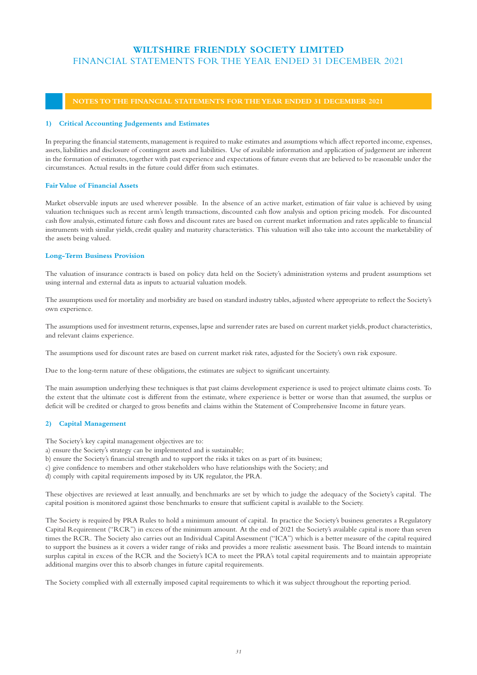## **NOTES TO THE FINANCIAL STATEMENTS FOR THE YEAR ENDED 31 DECEMBER 2021**

## **1) Critical Accounting Judgements and Estimates**

In preparing the financial statements, management is required to make estimates and assumptions which affect reported income, expenses, assets, liabilities and disclosure of contingent assets and liabilities. Use of available information and application of judgement are inherent in the formation of estimates, together with past experience and expectations of future events that are believed to be reasonable under the circumstances. Actual results in the future could differ from such estimates.

## **Fair Value of Financial Assets**

Market observable inputs are used wherever possible. In the absence of an active market, estimation of fair value is achieved by using valuation techniques such as recent arm's length transactions, discounted cash flow analysis and option pricing models. For discounted cash flow analysis, estimated future cash flows and discount rates are based on current market information and rates applicable to financial instruments with similar yields, credit quality and maturity characteristics. This valuation will also take into account the marketability of the assets being valued.

## **Long-Term Business Provision**

The valuation of insurance contracts is based on policy data held on the Society's administration systems and prudent assumptions set using internal and external data as inputs to actuarial valuation models.

The assumptions used for mortality and morbidity are based on standard industry tables, adjusted where appropriate to reflect the Society's own experience.

The assumptions used for investment returns, expenses, lapse and surrender rates are based on current market yields, product characteristics, and relevant claims experience.

The assumptions used for discount rates are based on current market risk rates, adjusted for the Society's own risk exposure.

Due to the long-term nature of these obligations, the estimates are subject to significant uncertainty.

The main assumption underlying these techniques is that past claims development experience is used to project ultimate claims costs. To the extent that the ultimate cost is different from the estimate, where experience is better or worse than that assumed, the surplus or deficit will be credited or charged to gross benefits and claims within the Statement of Comprehensive Income in future years.

## **2) Capital Management**

The Society's key capital management objectives are to:

a) ensure the Society's strategy can be implemented and is sustainable;

b) ensure the Society's financial strength and to support the risks it takes on as part of its business;

- c) give confidence to members and other stakeholders who have relationships with the Society; and
- d) comply with capital requirements imposed by its UK regulator, the PRA.

These objectives are reviewed at least annually, and benchmarks are set by which to judge the adequacy of the Society's capital. The capital position is monitored against those benchmarks to ensure that sufficient capital is available to the Society.

The Society is required by PRA Rules to hold a minimum amount of capital. In practice the Society's business generates a Regulatory Capital Requirement ("RCR") in excess of the minimum amount. At the end of 2021 the Society's available capital is more than seven times the RCR. The Society also carries out an Individual Capital Assessment ("ICA") which is a better measure of the capital required to support the business as it covers a wider range of risks and provides a more realistic assessment basis. The Board intends to maintain surplus capital in excess of the RCR and the Society's ICA to meet the PRA's total capital requirements and to maintain appropriate additional margins over this to absorb changes in future capital requirements.

The Society complied with all externally imposed capital requirements to which it was subject throughout the reporting period.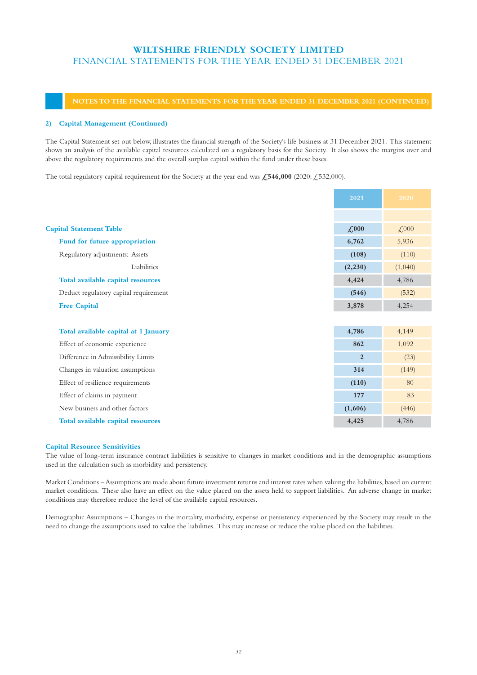## **NOTES TO THE FINANCIAL STATEMENTS FOR THE YEAR ENDED 31 DECEMBER 2021 (CONTINUED)**

## **2) Capital Management (Continued)**

The Capital Statement set out below, illustrates the financial strength of the Society's life business at 31 December 2021. This statement shows an analysis of the available capital resources calculated on a regulatory basis for the Society. It also shows the margins over and above the regulatory requirements and the overall surplus capital within the fund under these bases.

The total regulatory capital requirement for the Society at the year end was £546,000 (2020: £532,000).

|                                       | 2021           | 2020                              |
|---------------------------------------|----------------|-----------------------------------|
|                                       |                |                                   |
| <b>Capital Statement Table</b>        | $\angle 000$   | $\textcolor{blue}{\cancel{.000}}$ |
| Fund for future appropriation         | 6,762          | 5,936                             |
| Regulatory adjustments: Assets        | (108)          | (110)                             |
| Liabilities                           | (2,230)        | (1,040)                           |
| Total available capital resources     | 4,424          | 4,786                             |
| Deduct regulatory capital requirement | (546)          | (532)                             |
|                                       | 3,878          | 4,254                             |
|                                       |                |                                   |
| Total available capital at 1 January  | 4,786          | 4,149                             |
| Effect of economic experience         | 862            | 1,092                             |
| Difference in Admissibility Limits    | $\overline{2}$ | (23)                              |
| Changes in valuation assumptions      | 314            | (149)                             |
| Effect of resilience requirements     | (110)          | 80                                |
| Effect of claims in payment           | 177            | 83                                |
| New business and other factors        | (1,606)        | (446)                             |
| Total available capital resources     | 4,425          | 4,786                             |

### **Capital Resource Sensitivities**

The value of long-term insurance contract liabilities is sensitive to changes in market conditions and in the demographic assumptions used in the calculation such as morbidity and persistency.

Market Conditions – Assumptions are made about future investment returns and interest rates when valuing the liabilities, based on current market conditions. These also have an effect on the value placed on the assets held to support liabilities. An adverse change in market conditions may therefore reduce the level of the available capital resources.

Demographic Assumptions – Changes in the mortality, morbidity, expense or persistency experienced by the Society may result in the need to change the assumptions used to value the liabilities. This may increase or reduce the value placed on the liabilities.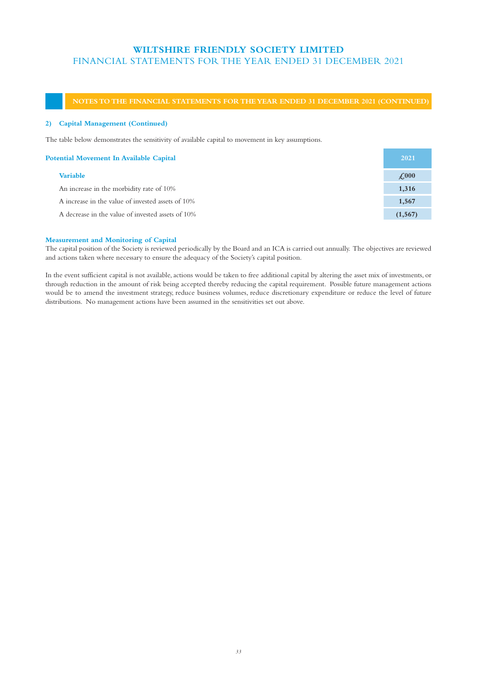## **NOTES TO THE FINANCIAL STATEMENTS FOR THE YEAR ENDED 31 DECEMBER 2021 (CONTINUED)**

## **2) Capital Management (Continued)**

The table below demonstrates the sensitivity of available capital to movement in key assumptions.

| <b>Potential Movement In Available Capital</b>    | 2021         |
|---------------------------------------------------|--------------|
| <b>Variable</b>                                   | $\angle 000$ |
| An increase in the morbidity rate of 10%          | 1,316        |
| A increase in the value of invested assets of 10% | 1,567        |
| A decrease in the value of invested assets of 10% | (1, 567)     |
|                                                   |              |

## **Measurement and Monitoring of Capital**

The capital position of the Society is reviewed periodically by the Board and an ICA is carried out annually. The objectives are reviewed and actions taken where necessary to ensure the adequacy of the Society's capital position.

In the event sufficient capital is not available, actions would be taken to free additional capital by altering the asset mix of investments, or through reduction in the amount of risk being accepted thereby reducing the capital requirement. Possible future management actions would be to amend the investment strategy, reduce business volumes, reduce discretionary expenditure or reduce the level of future distributions. No management actions have been assumed in the sensitivities set out above.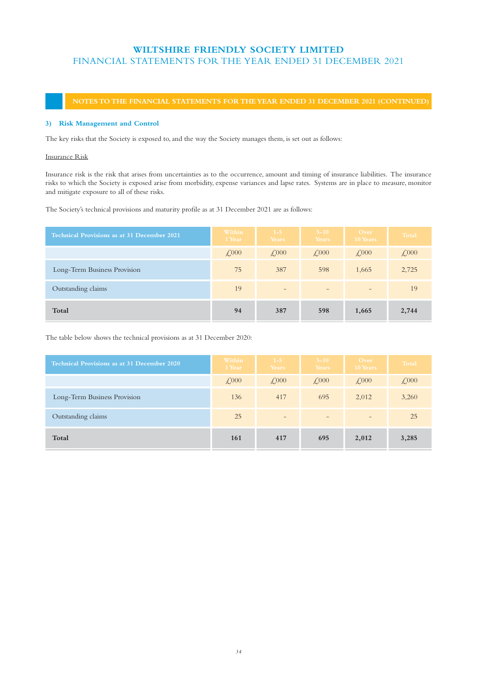## **NOTES TO THE FINANCIAL STATEMENTS FOR THE YEAR ENDED 31 DECEMBER 2021 (CONTINUED)**

## **3) Risk Management and Control**

The key risks that the Society is exposed to, and the way the Society manages them, is set out as follows:

## Insurance Risk

Insurance risk is the risk that arises from uncertainties as to the occurrence, amount and timing of insurance liabilities. The insurance risks to which the Society is exposed arise from morbidity, expense variances and lapse rates. Systems are in place to measure, monitor and mitigate exposure to all of these risks.

The Society's technical provisions and maturity profile as at 31 December 2021 are as follows:

| <b>Technical Provisions as at 31 December 2021</b> | Within<br>1 Year | $1 - 5$<br>Years  | $5 - 10$<br>Years | Over<br>10 Years         | Total                            |
|----------------------------------------------------|------------------|-------------------|-------------------|--------------------------|----------------------------------|
|                                                    | $\angle 000$     | $\angle 000$      | $\angle 000$      | $\angle 000$             | $\textcolor{red}{\downarrow}000$ |
| Long-Term Business Provision                       | 75               | 387               | 598               | 1,665                    | 2,725                            |
| Outstanding claims                                 | 19               | $\qquad \qquad -$ | $\qquad \qquad -$ | $\overline{\phantom{0}}$ | 19                               |
| Total                                              | 94               | 387               | 598               | 1,665                    | 2,744                            |

The table below shows the technical provisions as at 31 December 2020:

| <b>Technical Provisions as at 31 December 2020</b> | Within<br>1 Year | $1-5$<br>Years  | $5 - 10$<br>Years | Over<br>10 Years         | Total                            |
|----------------------------------------------------|------------------|-----------------|-------------------|--------------------------|----------------------------------|
|                                                    | $\angle 000$     | $\angle 000$    | $\angle 000$      | $\angle 000$             | $\textcolor{red}{\downarrow}000$ |
| Long-Term Business Provision                       | 136              | 417             | 695               | 2,012                    | 3,260                            |
| Outstanding claims                                 | 25               | $\qquad \qquad$ | $\qquad \qquad$   | $\overline{\phantom{a}}$ | 25                               |
| Total                                              | 161              | 417             | 695               | 2,012                    | 3,285                            |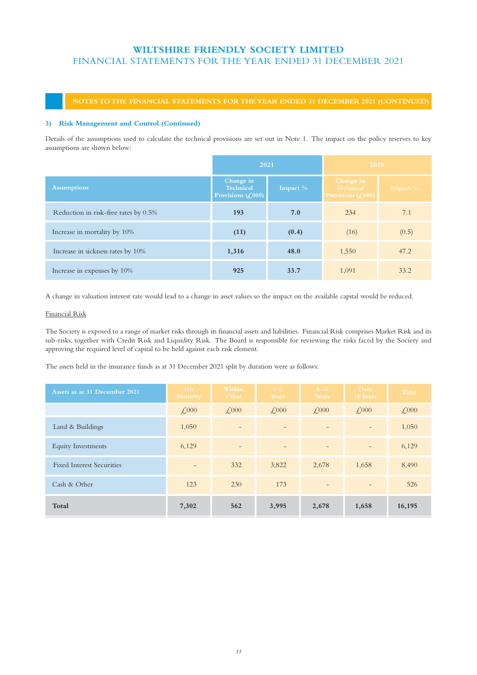## **NOTES TO THE FINANCIAL STATEMENTS FOR THE YEAR ENDED 31 DECEMBER 2021 (CONTINUED)**

## **3) Risk Management and Control (Continued)**

Details of the assumptions used to calculate the technical provisions are set out in Note 1. The impact on the policy reserves to key assumptions are shown below:

|                                      | 2021                                                                         |             | 2020                                                  |             |
|--------------------------------------|------------------------------------------------------------------------------|-------------|-------------------------------------------------------|-------------|
| <b>Assumptions</b>                   | Change in<br><b>Technical</b><br>Provisions $\left(\frac{\ell}{2000}\right)$ | Impact $\%$ | Change in<br><b>Technical</b><br>Provisions $(0.000)$ | Impact $\%$ |
| Reduction in risk-free rates by 0.5% | 193                                                                          | 7.0         | 234                                                   | 7.1         |
| Increase in mortality by 10%         | (11)                                                                         | (0.4)       | (16)                                                  | (0.5)       |
| Increase in sickness rates by 10%    | 1,316                                                                        | 48.0        | 1,550                                                 | 47.2        |
| Increase in expenses by 10%          | 925                                                                          | 33.7        | 1,091                                                 | 33.2        |

A change in valuation interest rate would lead to a change in asset values so the impact on the available capital would be reduced.

## Financial Risk

The Society is exposed to a range of market risks through its financial assets and liabilities. Financial Risk comprises Market Risk and its sub-risks, together with Credit Risk and Liquidity Risk. The Board is responsible for reviewing the risks faced by the Society and approving the required level of capital to be held against each risk element.

The assets held in the insurance funds as at 31 December 2021 split by duration were as follows:

| Assets as at 31 December 2021    | No.<br><b>Maturity</b> | Within<br>1 Year         | $1 - 5$<br>Years         | $5 - 10$<br>Years        | Over<br>10 Years  | Total        |
|----------------------------------|------------------------|--------------------------|--------------------------|--------------------------|-------------------|--------------|
|                                  | $\angle 000$           | $\angle 000$             | $\angle 000$             | $\angle 000$             | $\angle 000$      | $\angle 000$ |
| Land & Buildings                 | 1,050                  | $\overline{\phantom{m}}$ | $\qquad \qquad -$        | $\overline{\phantom{0}}$ | $\qquad \qquad -$ | 1,050        |
| <b>Equity Investments</b>        | 6,129                  | $\overline{\phantom{m}}$ | $\overline{\phantom{a}}$ | $\qquad \qquad -$        | $\qquad \qquad -$ | 6,129        |
| <b>Fixed Interest Securities</b> |                        | 332                      | 3,822                    | 2,678                    | 1,658             | 8,490        |
| Cash & Other                     | 123                    | 230                      | 173                      | $\overline{\phantom{0}}$ |                   | 526          |
| Total                            | 7,302                  | 562                      | 3,995                    | 2,678                    | 1,658             | 16,195       |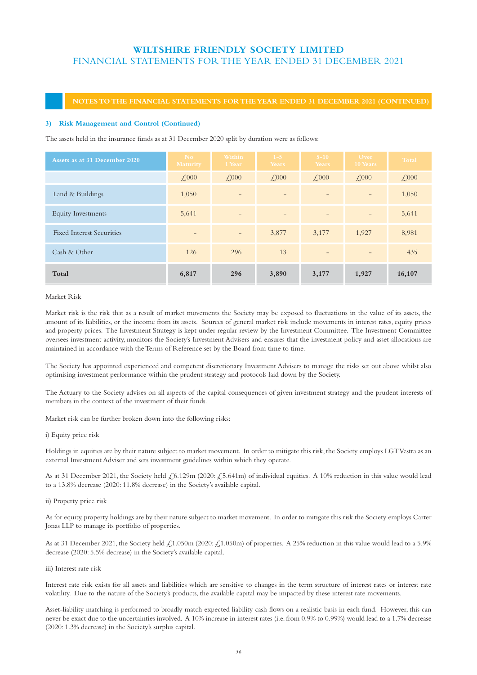## **NOTES TO THE FINANCIAL STATEMENTS FOR THE YEAR ENDED 31 DECEMBER 2021 (CONTINUED)**

## **3) Risk Management and Control (Continued)**

The assets held in the insurance funds as at 31 December 2020 split by duration were as follows:

| Assets as at 31 December 2020    | N <sub>o</sub><br><b>Maturity</b> | Within<br>1 Year         | $1 - 5$<br>Years         | $5 - 10$<br>Years        | Over<br>10 Years         | Total        |
|----------------------------------|-----------------------------------|--------------------------|--------------------------|--------------------------|--------------------------|--------------|
|                                  | $\angle 000$                      | $\angle 000$             | $\angle 000$             | $\angle 000$             | $\angle 000$             | $\angle 000$ |
| Land & Buildings                 | 1,050                             |                          | $\overline{\phantom{m}}$ | $\qquad \qquad$          | $\qquad \qquad -$        | 1,050        |
| <b>Equity Investments</b>        | 5,641                             |                          | $\qquad \qquad -$        |                          | $\overline{a}$           | 5,641        |
| <b>Fixed Interest Securities</b> | $\qquad \qquad -$                 | $\overline{\phantom{0}}$ | 3,877                    | 3,177                    | 1,927                    | 8,981        |
| Cash & Other                     | 126                               | 296                      | 13                       | $\overline{\phantom{0}}$ | $\overline{\phantom{0}}$ | 435          |
| Total                            | 6,817                             | 296                      | 3,890                    | 3,177                    | 1,927                    | 16,107       |

## Market Risk

Market risk is the risk that as a result of market movements the Society may be exposed to fluctuations in the value of its assets, the amount of its liabilities, or the income from its assets. Sources of general market risk include movements in interest rates, equity prices and property prices. The Investment Strategy is kept under regular review by the Investment Committee. The Investment Committee oversees investment activity, monitors the Society's Investment Advisers and ensures that the investment policy and asset allocations are maintained in accordance with the Terms of Reference set by the Board from time to time.

The Society has appointed experienced and competent discretionary Investment Advisers to manage the risks set out above whilst also optimising investment performance within the prudent strategy and protocols laid down by the Society.

The Actuary to the Society advises on all aspects of the capital consequences of given investment strategy and the prudent interests of members in the context of the investment of their funds.

Market risk can be further broken down into the following risks:

i) Equity price risk

Holdings in equities are by their nature subject to market movement. In order to mitigate this risk, the Society employs LGT Vestra as an external Investment Adviser and sets investment guidelines within which they operate.

As at 31 December 2021, the Society held  $\zeta$ 6.129m (2020:  $\zeta$ 5.641m) of individual equities. A 10% reduction in this value would lead to a 13.8% decrease (2020: 11.8% decrease) in the Society's available capital.

ii) Property price risk

As for equity, property holdings are by their nature subject to market movement. In order to mitigate this risk the Society employs Carter Jonas LLP to manage its portfolio of properties.

As at 31 December 2021, the Society held  $\frac{1}{2}$ , 1.050m (2020:  $\frac{1}{2}$ , 1.050m) of properties. A 25% reduction in this value would lead to a 5.9% decrease (2020: 5.5% decrease) in the Society's available capital.

iii) Interest rate risk

Interest rate risk exists for all assets and liabilities which are sensitive to changes in the term structure of interest rates or interest rate volatility. Due to the nature of the Society's products, the available capital may be impacted by these interest rate movements.

Asset-liability matching is performed to broadly match expected liability cash flows on a realistic basis in each fund. However, this can never be exact due to the uncertainties involved. A 10% increase in interest rates (i.e. from 0.9% to 0.99%) would lead to a 1.7% decrease (2020: 1.3% decrease) in the Society's surplus capital.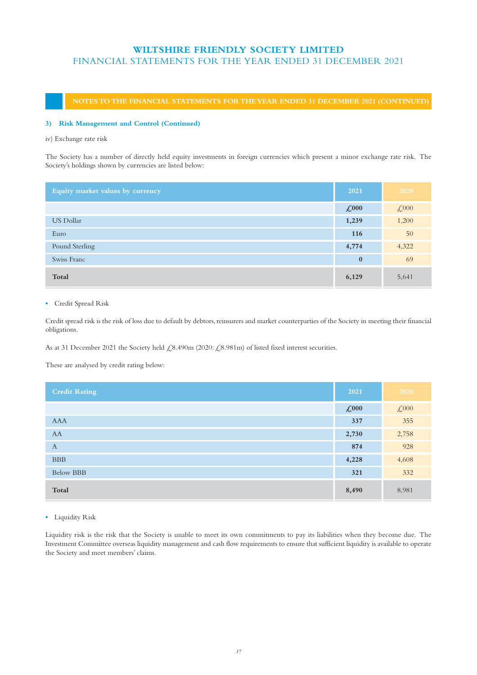## **NOTES TO THE FINANCIAL STATEMENTS FOR THE YEAR ENDED 31 DECEMBER 2021 (CONTINUED)**

## **3) Risk Management and Control (Continued)**

## iv) Exchange rate risk

The Society has a number of directly held equity investments in foreign currencies which present a minor exchange rate risk. The Society's holdings shown by currencies are listed below:

| Equity market values by currency | 2021                | 2020                                 |
|----------------------------------|---------------------|--------------------------------------|
|                                  | $\mathcal{L}^{000}$ | $\textcolor{red}{\mathcal{L}^{000}}$ |
| <b>US Dollar</b>                 | 1,239               | 1,200                                |
| Euro                             | 116                 | 50                                   |
| Pound Sterling                   | 4,774               | 4,322                                |
| Swiss Franc                      | $\mathbf{0}$        | 69                                   |
| Total                            | 6,129               | 5,641                                |

**•** Credit Spread Risk

Credit spread risk is the risk of loss due to default by debtors, reinsurers and market counterparties of the Society in meeting their financial obligations.

As at 31 December 2021 the Society held  $\measuredangle$ 8.490m (2020:  $\measuredangle$ 8.981m) of listed fixed interest securities.

These are analysed by credit rating below:

| <b>Credit Rating</b> | 2021                | 2020                           |
|----------------------|---------------------|--------------------------------|
|                      | $\mathcal{L}^{000}$ | $\textcolor{red}{\text{£000}}$ |
| AAA                  | 337                 | 355                            |
| AA                   | 2,730               | 2,758                          |
| $\mathbf{A}$         | 874                 | 928                            |
| <b>BBB</b>           | 4,228               | 4,608                          |
| <b>Below BBB</b>     | 321                 | 332                            |
| Total                | 8,490               | 8,981                          |

## **•** Liquidity Risk

Liquidity risk is the risk that the Society is unable to meet its own commitments to pay its liabilities when they become due. The Investment Committee overseas liquidity management and cash flow requirements to ensure that sufficient liquidity is available to operate the Society and meet members' claims.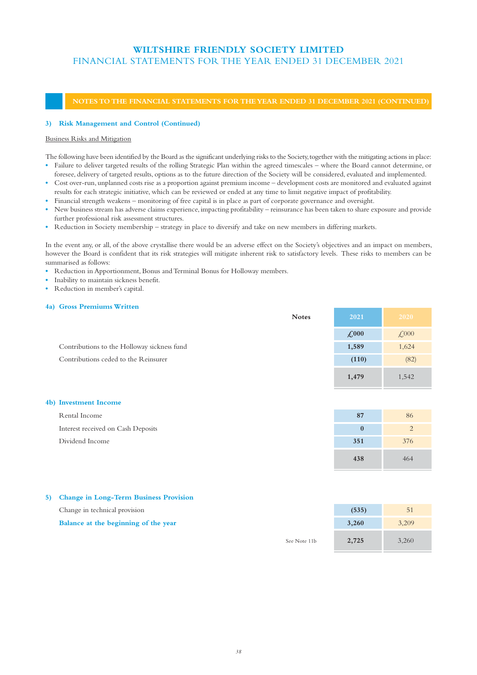## **NOTES TO THE FINANCIAL STATEMENTS FOR THE YEAR ENDED 31 DECEMBER 2021 (CONTINUED)**

## **3) Risk Management and Control (Continued)**

## Business Risks and Mitigation

The following have been identified by the Board as the significant underlying risks to the Society, together with the mitigating actions in place:

- **•** Failure to deliver targeted results of the rolling Strategic Plan within the agreed timescales where the Board cannot determine, or foresee, delivery of targeted results, options as to the future direction of the Society will be considered, evaluated and implemented.
- **•** Cost over-run, unplanned costs rise as a proportion against premium income development costs are monitored and evaluated against results for each strategic initiative, which can be reviewed or ended at any time to limit negative impact of profitability.
- **•** Financial strength weakens monitoring of free capital is in place as part of corporate governance and oversight.
- New business stream has adverse claims experience, impacting profitability reinsurance has been taken to share exposure and provide further professional risk assessment structures.
- **•** Reduction in Society membership strategy in place to diversify and take on new members in differing markets.

In the event any, or all, of the above crystallise there would be an adverse effect on the Society's objectives and an impact on members, however the Board is confident that its risk strategies will mitigate inherent risk to satisfactory levels. These risks to members can be summarised as follows:

- **•** Reduction in Apportionment, Bonus and Terminal Bonus for Holloway members.
- **•** Inability to maintain sickness benefit.
- **•** Reduction in member's capital.

## **4a) Gross Premiums Written**

|                                             | <b>Notes</b> | 2021                | 2020                           |
|---------------------------------------------|--------------|---------------------|--------------------------------|
|                                             |              | $\mathcal{L}^{000}$ | $\textcolor{red}{\lesssim}000$ |
| Contributions to the Holloway sickness fund |              | 1,589               | 1,624                          |
| Contributions ceded to the Reinsurer        |              | (110)               | (82)                           |
|                                             |              | 1,479               | 1,542                          |

## **4b) Investment Income**

| Rental Income                      | 87  | 86  |
|------------------------------------|-----|-----|
| Interest received on Cash Deposits |     |     |
| Dividend Income                    | 351 | 376 |
|                                    | 438 | 464 |

## **5) Change in Long-Term Business Provision**

| Change in technical provision        |              | (535) | 51    |
|--------------------------------------|--------------|-------|-------|
| Balance at the beginning of the year |              | 3.260 | 3.209 |
|                                      | See Note 11b | 2.725 | 3.260 |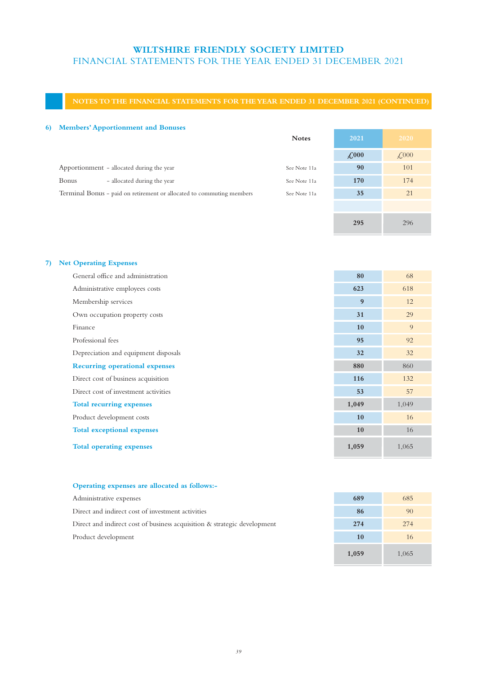## **NOTES TO THE FINANCIAL STATEMENTS FOR THE YEAR ENDED 31 DECEMBER 2021 (CONTINUED)**

## **6) Members' Apportionment and Bonuses**

| <b>Notes</b> | 2021          | 2020                             |
|--------------|---------------|----------------------------------|
|              | $\pounds$ 000 | $\textcolor{red}{\downarrow}000$ |
| See Note 11a | 90            | 101                              |
| See Note 11a | 170           | 174                              |
| See Note 11a | 35            | 21                               |
|              |               |                                  |
|              |               |                                  |

## **7) Net Operating Expenses**

| General office and administration     | 80    | 68    |
|---------------------------------------|-------|-------|
| Administrative employees costs        | 623   | 618   |
| Membership services                   | 9     | 12    |
| Own occupation property costs         | 31    | 29    |
| Finance                               | 10    | 9     |
| Professional fees                     | 95    | 92    |
| Depreciation and equipment disposals  | 32    | 32    |
| <b>Recurring operational expenses</b> | 880   | 860   |
| Direct cost of business acquisition   | 116   | 132   |
| Direct cost of investment activities  | 53    | 57    |
| <b>Total recurring expenses</b>       | 1,049 | 1,049 |
| Product development costs             | 10    | 16    |
| <b>Total exceptional expenses</b>     | 10    | 16    |
| <b>Total operating expenses</b>       | 1,059 | 1,065 |

## **Operating expenses are allocated as follows:-**

| Administrative expenses                                                     | 689 | 685 |
|-----------------------------------------------------------------------------|-----|-----|
| Direct and indirect cost of investment activities                           | 86  | 90  |
| Direct and indirect cost of business acquisition $\&$ strategic development | 274 | 274 |
| Product development                                                         | 10  | 16  |

| 689   | 685   |
|-------|-------|
| 86    | 90    |
| 274   | 274   |
| 10    | 16    |
| 1,059 | 1,065 |

**295** 296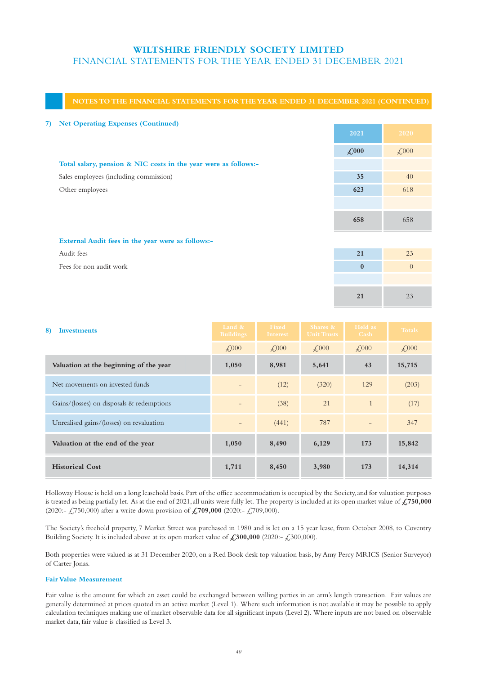## **NOTES TO THE FINANCIAL STATEMENTS FOR THE YEAR ENDED 31 DECEMBER 2021 (CONTINUED)**

| 7) | <b>Net Operating Expenses (Continued)</b>                       |                     |                |
|----|-----------------------------------------------------------------|---------------------|----------------|
|    |                                                                 | 2021                | 2020           |
|    |                                                                 | $\mathcal{L}^{000}$ | $\angle 000$   |
|    | Total salary, pension & NIC costs in the year were as follows:- |                     |                |
|    | Sales employees (including commission)                          | 35                  | 40             |
|    | Other employees                                                 | 623                 | 618            |
|    |                                                                 |                     |                |
|    |                                                                 | 658                 | 658            |
|    | External Audit fees in the year were as follows:-               |                     |                |
|    | Audit fees                                                      | 21                  | 23             |
|    | Fees for non audit work                                         | $\mathbf{0}$        | $\overline{0}$ |
|    |                                                                 |                     |                |

**21** 23

| 8)<br>Investments                         | Land &<br><b>Buildings</b> | Fixed<br>Interest | Shares &<br><b>Unit Trusts</b> | Held as<br>Cash | <b>Totals</b> |
|-------------------------------------------|----------------------------|-------------------|--------------------------------|-----------------|---------------|
|                                           | $\angle 000$               | $\angle 000$      | $\angle 000$                   | $\angle 000$    | $\angle 000$  |
| Valuation at the beginning of the year    | 1,050                      | 8,981             | 5,641                          | 43              | 15,715        |
| Net movements on invested funds           |                            | (12)              | (320)                          | 129             | (203)         |
| Gains/(losses) on disposals & redemptions |                            | (38)              | 21                             |                 | (17)          |
| Unrealised gains/(losses) on revaluation  |                            | (441)             | 787                            |                 | 347           |
| Valuation at the end of the year          | 1,050                      | 8,490             | 6,129                          | 173             | 15,842        |
| <b>Historical Cost</b>                    | 1,711                      | 8,450             | 3,980                          | 173             | 14,314        |

Holloway House is held on a long leasehold basis. Part of the office accommodation is occupied by the Society, and for valuation purposes is treated as being partially let. As at the end of 2021, all units were fully let. The property is included at its open market value of **£750,000** (2020:- £750,000) after a write down provision of **£709,000** (2020:- £709,000).

The Society's freehold property, 7 Market Street was purchased in 1980 and is let on a 15 year lease, from October 2008, to Coventry Building Society. It is included above at its open market value of **£300,000** (2020:- £300,000).

Both properties were valued as at 31 December 2020, on a Red Book desk top valuation basis, by Amy Percy MRICS (Senior Surveyor) of Carter Jonas.

## **Fair Value Measurement**

Fair value is the amount for which an asset could be exchanged between willing parties in an arm's length transaction. Fair values are generally determined at prices quoted in an active market (Level 1). Where such information is not available it may be possible to apply calculation techniques making use of market observable data for all significant inputs (Level 2). Where inputs are not based on observable market data, fair value is classified as Level 3.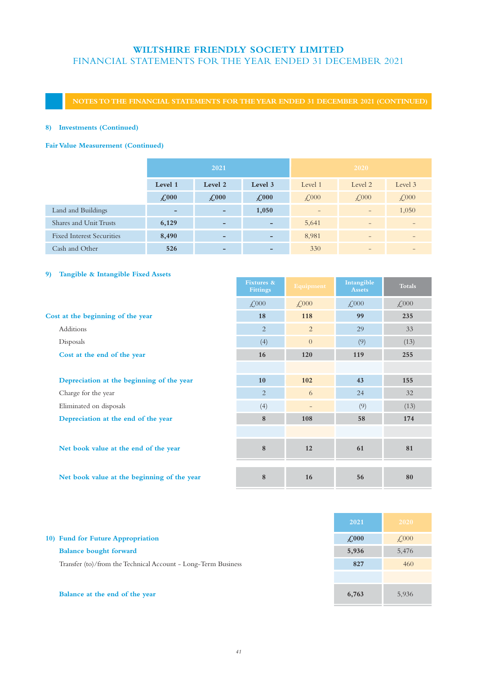## **NOTES TO THE FINANCIAL STATEMENTS FOR THE YEAR ENDED 31 DECEMBER 2021 (CONTINUED)**

## **8) Investments (Continued)**

## **Fair Value Measurement (Continued)**

|                                  | 2021                     |                              | 2020                     |                          |                          |                          |
|----------------------------------|--------------------------|------------------------------|--------------------------|--------------------------|--------------------------|--------------------------|
|                                  | Level 1                  | Level 2                      | Level 3                  | Level 1                  | Level 2                  | Level 3                  |
|                                  | $\angle 000$             | $\angle 000$                 | $\angle 000$             | $\angle 000$             | $\angle 000$             | $\mathcal{L}^{000}$      |
| Land and Buildings               | $\overline{\phantom{0}}$ | $\overline{\phantom{a}}$     | 1,050                    | $\overline{\phantom{0}}$ | $\qquad \qquad -$        | 1,050                    |
| Shares and Unit Trusts           | 6,129                    | $\qquad \qquad \blacksquare$ | $\overline{\phantom{0}}$ | 5,641                    | $\qquad \qquad -$        | $\overline{\phantom{a}}$ |
| <b>Fixed Interest Securities</b> | 8,490                    | $\overline{\phantom{0}}$     | -                        | 8,981                    | $\overline{\phantom{0}}$ |                          |
| Cash and Other                   | 526                      | $\qquad \qquad \blacksquare$ | -                        | 330                      | $\qquad \qquad$          |                          |

## **9) Tangible & Intangible Fixed Assets**

|                                             | <b>Fixtures &amp;</b><br><b>Fittings</b> | Equipment                | Intangible<br><b>Assets</b> | <b>Totals</b> |
|---------------------------------------------|------------------------------------------|--------------------------|-----------------------------|---------------|
|                                             | $\angle 000$                             | $\angle 000$             | $\angle 000$                | $\angle 000$  |
| Cost at the beginning of the year           | 18                                       | 118                      | 99                          | 235           |
| Additions                                   | $\overline{2}$                           | $\overline{2}$           | 29                          | 33            |
| Disposals                                   | (4)                                      | $\overline{0}$           | (9)                         | (13)          |
| Cost at the end of the year                 | 16                                       | 120                      | 119                         | 255           |
|                                             |                                          |                          |                             |               |
| Depreciation at the beginning of the year   | 10                                       | 102                      | 43                          | 155           |
| Charge for the year                         | 2                                        | 6                        | 24                          | 32            |
| Eliminated on disposals                     | (4)                                      | $\overline{\phantom{a}}$ | (9)                         | (13)          |
| Depreciation at the end of the year         | 8                                        | 108                      | 58                          | 174           |
|                                             |                                          |                          |                             |               |
| Net book value at the end of the year       | 8                                        | 12                       | 61                          | 81            |
| Net book value at the beginning of the year | 8                                        | 16                       | 56                          | 80            |

|                                                               | 2021         | 2020         |
|---------------------------------------------------------------|--------------|--------------|
| 10) Fund for Future Appropriation                             | $\angle 000$ | $\angle 000$ |
| <b>Balance bought forward</b>                                 | 5,936        | 5,476        |
| Transfer (to)/from the Technical Account - Long-Term Business | 827          | 460          |
|                                                               |              |              |
| Balance at the end of the year                                | 6,763        | 5,936        |

a po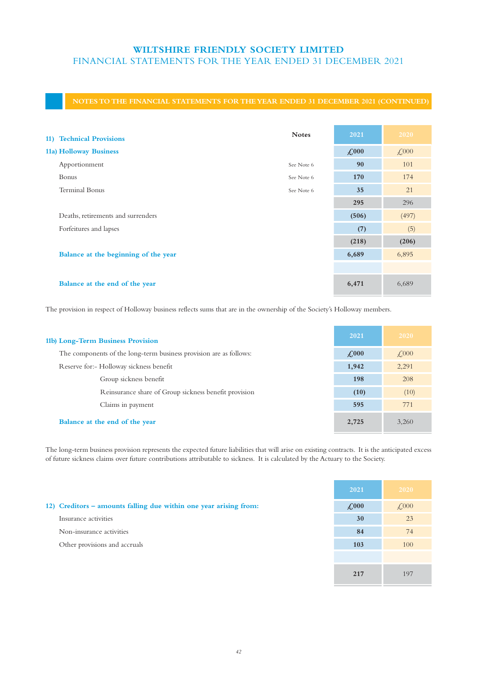## **NOTES TO THE FINANCIAL STATEMENTS FOR THE YEAR ENDED 31 DECEMBER 2021 (CONTINUED)**

| 11) Technical Provisions             | <b>Notes</b> | 2021         | 2020         |
|--------------------------------------|--------------|--------------|--------------|
| 11a) Holloway Business               |              | $\angle 000$ | $\angle 000$ |
| Apportionment                        | See Note 6   | 90           | 101          |
| Bonus                                | See Note 6   | 170          | 174          |
| <b>Terminal Bonus</b>                | See Note 6   | 35           | 21           |
|                                      |              | 295          | 296          |
| Deaths, retirements and surrenders   |              | (506)        | (497)        |
| Forfeitures and lapses               |              | (7)          | (5)          |
|                                      |              | (218)        | (206)        |
| Balance at the beginning of the year |              | 6,689        | 6,895        |
|                                      |              |              |              |
| Balance at the end of the year       |              | 6,471        | 6,689        |

The provision in respect of Holloway business reflects sums that are in the ownership of the Society's Holloway members.

| 11b) Long-Term Business Provision                                  | 2021         | 2020         |
|--------------------------------------------------------------------|--------------|--------------|
| The components of the long-term business provision are as follows: | $\angle 000$ | $\angle 000$ |
| Reserve for:- Holloway sickness benefit                            | 1,942        | 2,291        |
| Group sickness benefit                                             | 198          | 208          |
| Reinsurance share of Group sickness benefit provision              | (10)         | (10)         |
| Claims in payment                                                  | 595          | 771          |
| Balance at the end of the year                                     | 2,725        | 3.260        |

The long-term business provision represents the expected future liabilities that will arise on existing contracts. It is the anticipated excess of future sickness claims over future contributions attributable to sickness. It is calculated by the Actuary to the Society.

**2021 2020**

| 12) Creditors - amounts falling due within one year arising from: | $\angle 000$ | $\angle 000$ |
|-------------------------------------------------------------------|--------------|--------------|
| Insurance activities                                              | 30           | 23           |
| Non-insurance activities                                          | 84           | 74           |
| Other provisions and accruals                                     | 103          | 100          |
|                                                                   |              |              |
|                                                                   | 217          | 197          |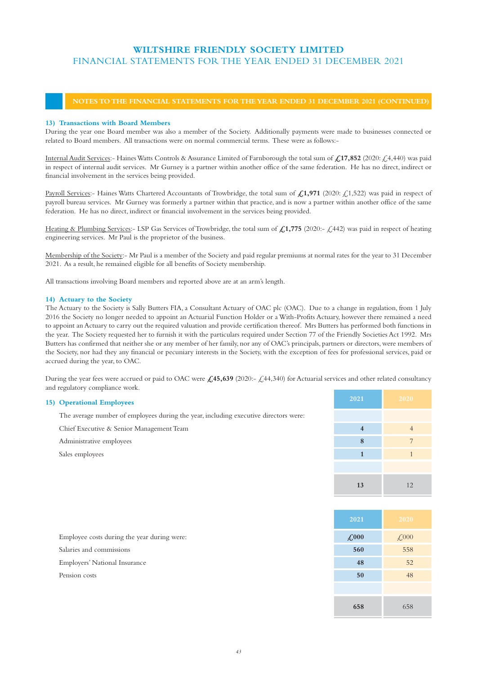## **NOTES TO THE FINANCIAL STATEMENTS FOR THE YEAR ENDED 31 DECEMBER 2021 (CONTINUED)**

## **13) Transactions with Board Members**

During the year one Board member was also a member of the Society. Additionally payments were made to businesses connected or related to Board members. All transactions were on normal commercial terms. These were as follows:-

Internal Audit Services:- Haines Watts Controls & Assurance Limited of Farnborough the total sum of **£17,852** (2020: £4,440) was paid in respect of internal audit services. Mr Gurney is a partner within another office of the same federation. He has no direct, indirect or financial involvement in the services being provided.

Payroll Services:- Haines Watts Chartered Accountants of Trowbridge, the total sum of £1,971 (2020: £1,522) was paid in respect of payroll bureau services. Mr Gurney was formerly a partner within that practice, and is now a partner within another office of the same federation. He has no direct, indirect or financial involvement in the services being provided.

Heating & Plumbing Services:- LSP Gas Services of Trowbridge, the total sum of  $\mathcal{L}1,775$  (2020:-  $\mathcal{L}442$ ) was paid in respect of heating engineering services. Mr Paul is the proprietor of the business.

Membership of the Society:- Mr Paul is a member of the Society and paid regular premiums at normal rates for the year to 31 December 2021. As a result, he remained eligible for all benefits of Society membership.

All transactions involving Board members and reported above are at an arm's length.

### **14) Actuary to the Society**

The Actuary to the Society is Sally Butters FIA, a Consultant Actuary of OAC plc (OAC). Due to a change in regulation, from 1 July 2016 the Society no longer needed to appoint an Actuarial Function Holder or a With-Profits Actuary, however there remained a need to appoint an Actuary to carry out the required valuation and provide certification thereof. Mrs Butters has performed both functions in the year. The Society requested her to furnish it with the particulars required under Section 77 of the Friendly Societies Act 1992. Mrs Butters has confirmed that neither she or any member of her family, nor any of OAC's principals, partners or directors, were members of the Society, nor had they any financial or pecuniary interests in the Society, with the exception of fees for professional services, paid or accrued during the year, to OAC.

During the year fees were accrued or paid to OAC were **£45,639** (2020:- £44,340) for Actuarial services and other related consultancy and regulatory compliance work.

| <b>15)</b> Operational Employees                                                     | 2021 | 2020 |
|--------------------------------------------------------------------------------------|------|------|
| The average number of employees during the year, including executive directors were: |      |      |
| Chief Executive & Senior Management Team                                             |      |      |
| Administrative employees                                                             |      |      |
| Sales employees                                                                      |      |      |
|                                                                                      |      |      |
|                                                                                      |      |      |

|                                             | 2021                | 2020                           |
|---------------------------------------------|---------------------|--------------------------------|
| Employee costs during the year during were: | $\mathcal{L}^{000}$ | $\textcolor{red}{\text{£000}}$ |
| Salaries and commissions                    | 560                 | 558                            |
| Employers' National Insurance               | 48                  | 52                             |
| Pension costs                               | 50                  | 48                             |
|                                             |                     |                                |
|                                             | 658                 | 658                            |

**13** 12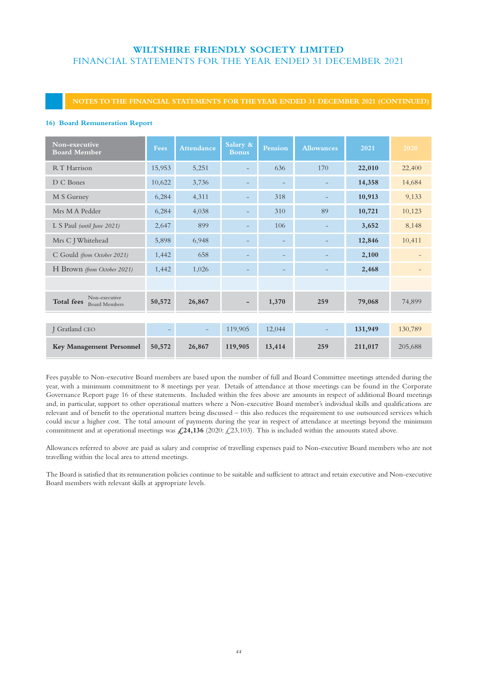## **NOTES TO THE FINANCIAL STATEMENTS FOR THE YEAR ENDED 31 DECEMBER 2021 (CONTINUED)**

### **16) Board Remuneration Report**

| Non-executive<br><b>Board Member</b>                       | <b>Fees</b> | <b>Attendance</b> | Salary &<br><b>Bonus</b> | Pension | <b>Allowances</b> | 2021    | 2020    |
|------------------------------------------------------------|-------------|-------------------|--------------------------|---------|-------------------|---------|---------|
| R T Harrison                                               | 15,953      | 5,251             |                          | 636     | 170               | 22,010  | 22,400  |
| D C Bones                                                  | 10,622      | 3,736             |                          |         |                   | 14,358  | 14,684  |
| M S Gurney                                                 | 6,284       | 4,311             |                          | 318     |                   | 10,913  | 9,133   |
| Mrs M A Pedder                                             | 6,284       | 4,038             |                          | 310     | 89                | 10,721  | 10,123  |
| L S Paul (until June 2021)                                 | 2,647       | 899               |                          | 106     |                   | 3,652   | 8,148   |
| Mrs C J Whitehead                                          | 5,898       | 6,948             |                          |         |                   | 12,846  | 10,411  |
| C Gould (from October 2021)                                | 1,442       | 658               |                          |         |                   | 2,100   |         |
| H Brown (from October 2021)                                | 1,442       | 1,026             |                          |         |                   | 2,468   |         |
|                                                            |             |                   |                          |         |                   |         |         |
| Non-executive<br><b>Total fees</b><br><b>Board Members</b> | 50,572      | 26,867            |                          | 1,370   | 259               | 79,068  | 74,899  |
|                                                            |             |                   |                          |         |                   |         |         |
| J Gratland CEO                                             |             |                   | 119,905                  | 12,044  |                   | 131,949 | 130,789 |
| <b>Key Management Personnel</b>                            | 50,572      | 26,867            | 119,905                  | 13,414  | 259               | 211,017 | 205,688 |

Fees payable to Non-executive Board members are based upon the number of full and Board Committee meetings attended during the year, with a minimum commitment to 8 meetings per year. Details of attendance at those meetings can be found in the Corporate Governance Report page 16 of these statements. Included within the fees above are amounts in respect of additional Board meetings and, in particular, support to other operational matters where a Non-executive Board member's individual skills and qualifications are relevant and of benefit to the operational matters being discussed – this also reduces the requirement to use outsourced services which could incur a higher cost. The total amount of payments during the year in respect of attendance at meetings beyond the minimum commitment and at operational meetings was **£24,136** (2020: £23,103). This is included within the amounts stated above.

Allowances referred to above are paid as salary and comprise of travelling expenses paid to Non-executive Board members who are not travelling within the local area to attend meetings.

The Board is satisfied that its remuneration policies continue to be suitable and sufficient to attract and retain executive and Non-executive Board members with relevant skills at appropriate levels.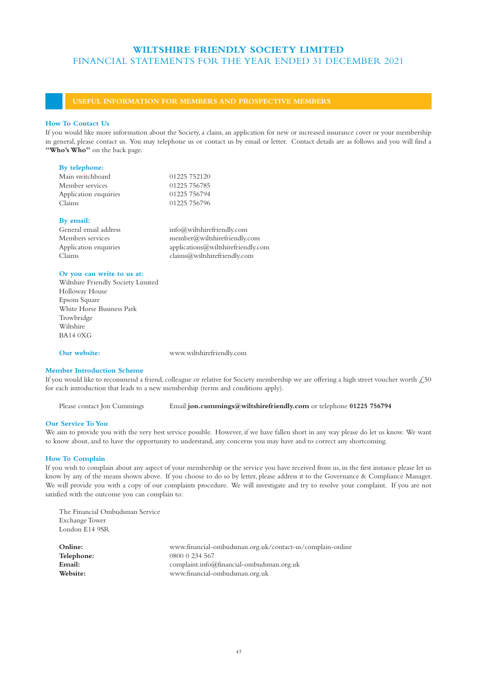## **USEFUL INFORMATION FOR MEMBERS AND PROSPECTIVE MEMBERS**

### **How To Contact Us**

If you would like more information about the Society, a claim, an application for new or increased insurance cover or your membership in general, please contact us. You may telephone us or contact us by email or letter. Contact details are as follows and you will find a "Who's Who" on the back page.

### **By telephone:**

| Main switchboard      | 01225 752120 |
|-----------------------|--------------|
| Member services       | 01225 756785 |
| Application enquiries | 01225 756794 |
| Claims                | 01225 756796 |
|                       |              |

#### **By email:**

| $info@$ wiltshirefriendly.com      |
|------------------------------------|
| $m$ ember@wiltshirefriendly.com    |
| applications@wiltshirefriendly.com |
| clains@wiltshirefriendly.com       |
|                                    |

#### **Or you can write to us at:**

Wiltshire Friendly Society Limited Holloway House Epsom Square White Horse Business Park Trowbridge Wiltshire BA14 0XG

**Our website:** www.wiltshirefriendly.com

## **Member Introduction Scheme**

If you would like to recommend a friend, colleague or relative for Society membership we are offering a high street voucher worth  $\zeta$ 50 for each introduction that leads to a new membership (terms and conditions apply).

Please contact Jon Cummings Email **jon.cummings@wiltshirefriendly.com** or telephone **01225 756794**

### **Our Service To You**

We aim to provide you with the very best service possible. However, if we have fallen short in any way please do let us know. We want to know about, and to have the opportunity to understand, any concerns you may have and to correct any shortcoming.

#### **How To Complain**

If you wish to complain about any aspect of your membership or the service you have received from us, in the first instance please let us know by any of the means shown above. If you choose to do so by letter, please address it to the Governance & Compliance Manager. We will provide you with a copy of our complaints procedure. We will investigate and try to resolve your complaint. If you are not satisfied with the outcome you can complain to:

| The Financial Ombudsman Service |                                                           |
|---------------------------------|-----------------------------------------------------------|
| <b>Exchange Tower</b>           |                                                           |
| London E14 9SR                  |                                                           |
|                                 |                                                           |
| Online:                         | www.financial-ombudsman.org.uk/contact-us/complain-online |
| Telephone:                      | 0800 0 234 567                                            |
| Email:                          | complaint.info@financial-ombudsman.org.uk                 |
| Website:                        | www.financial-ombudsman.org.uk                            |